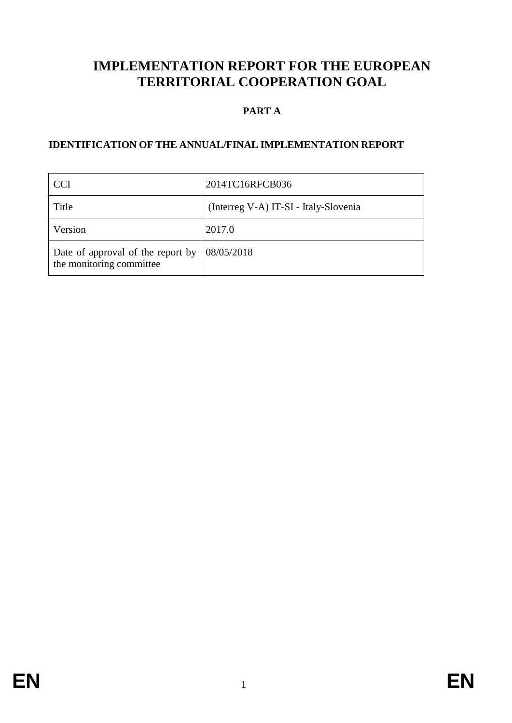# **IMPLEMENTATION REPORT FOR THE EUROPEAN TERRITORIAL COOPERATION GOAL**

# **PART A**

## **IDENTIFICATION OF THE ANNUAL/FINAL IMPLEMENTATION REPORT**

| <b>CCI</b>                                                    | 2014TC16RFCB036                       |
|---------------------------------------------------------------|---------------------------------------|
| Title                                                         | (Interreg V-A) IT-SI - Italy-Slovenia |
| Version                                                       | 2017.0                                |
| Date of approval of the report by<br>the monitoring committee | 08/05/2018                            |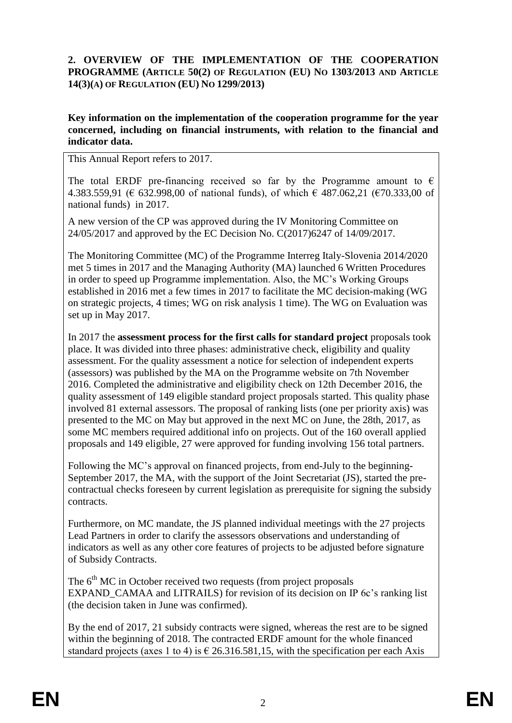## **2. OVERVIEW OF THE IMPLEMENTATION OF THE COOPERATION PROGRAMME (ARTICLE 50(2) OF REGULATION (EU) NO 1303/2013 AND ARTICLE 14(3)(A) OF REGULATION (EU) NO 1299/2013)**

### **Key information on the implementation of the cooperation programme for the year concerned, including on financial instruments, with relation to the financial and indicator data.**

This Annual Report refers to 2017.

The total ERDF pre-financing received so far by the Programme amount to  $\epsilon$ 4.383.559,91 (€ 632.998,00 of national funds), of which € 487.062,21 (€70.333,00 of national funds) in 2017.

A new version of the CP was approved during the IV Monitoring Committee on 24/05/2017 and approved by the EC Decision No. C(2017)6247 of 14/09/2017.

The Monitoring Committee (MC) of the Programme Interreg Italy-Slovenia 2014/2020 met 5 times in 2017 and the Managing Authority (MA) launched 6 Written Procedures in order to speed up Programme implementation. Also, the MC's Working Groups established in 2016 met a few times in 2017 to facilitate the MC decision-making (WG on strategic projects, 4 times; WG on risk analysis 1 time). The WG on Evaluation was set up in May 2017.

In 2017 the **assessment process for the first calls for standard project** proposals took place. It was divided into three phases: administrative check, eligibility and quality assessment. For the quality assessment a notice for selection of independent experts (assessors) was published by the MA on the Programme website on 7th November 2016. Completed the administrative and eligibility check on 12th December 2016, the quality assessment of 149 eligible standard project proposals started. This quality phase involved 81 external assessors. The proposal of ranking lists (one per priority axis) was presented to the MC on May but approved in the next MC on June, the 28th, 2017, as some MC members required additional info on projects. Out of the 160 overall applied proposals and 149 eligible, 27 were approved for funding involving 156 total partners.

Following the MC's approval on financed projects, from end-July to the beginning-September 2017, the MA, with the support of the Joint Secretariat (JS), started the precontractual checks foreseen by current legislation as prerequisite for signing the subsidy contracts.

Furthermore, on MC mandate, the JS planned individual meetings with the 27 projects Lead Partners in order to clarify the assessors observations and understanding of indicators as well as any other core features of projects to be adjusted before signature of Subsidy Contracts.

The  $6<sup>th</sup>$  MC in October received two requests (from project proposals EXPAND CAMAA and LITRAILS) for revision of its decision on IP 6c's ranking list (the decision taken in June was confirmed).

By the end of 2017, 21 subsidy contracts were signed, whereas the rest are to be signed within the beginning of 2018. The contracted ERDF amount for the whole financed standard projects (axes 1 to 4) is  $\epsilon$  26.316.581,15, with the specification per each Axis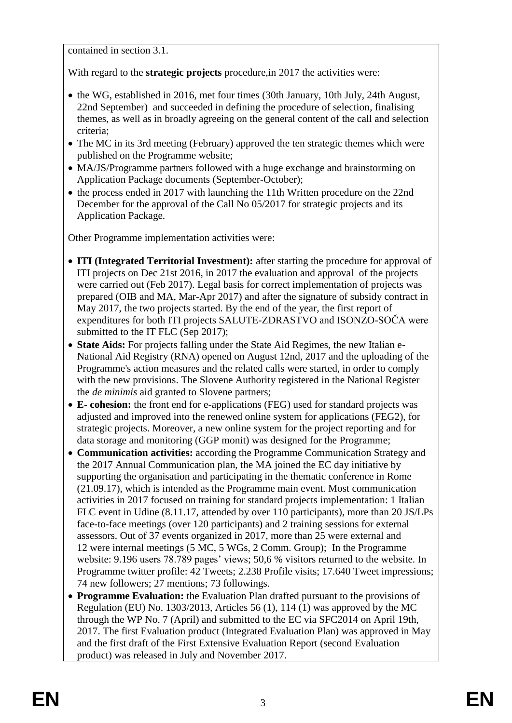contained in section 3.1.

With regard to the **strategic projects** procedure,in 2017 the activities were:

- the WG, established in 2016, met four times (30th January, 10th July, 24th August, 22nd September) and succeeded in defining the procedure of selection, finalising themes, as well as in broadly agreeing on the general content of the call and selection criteria;
- The MC in its 3rd meeting (February) approved the ten strategic themes which were published on the Programme website;
- MA/JS/Programme partners followed with a huge exchange and brainstorming on Application Package documents (September-October);
- the process ended in 2017 with launching the 11th Written procedure on the 22nd December for the approval of the Call No  $05/2017$  for strategic projects and its Application Package.

Other Programme implementation activities were:

- **ITI (Integrated Territorial Investment):** after starting the procedure for approval of ITI projects on Dec 21st 2016, in 2017 the evaluation and approval of the projects were carried out (Feb 2017). Legal basis for correct implementation of projects was prepared (OIB and MA, Mar-Apr 2017) and after the signature of subsidy contract in May 2017, the two projects started. By the end of the year, the first report of expenditures for both ITI projects SALUTE-ZDRASTVO and ISONZO-SOČA were submitted to the IT FLC (Sep 2017);
- **State Aids:** For projects falling under the State Aid Regimes, the new Italian e-National Aid Registry (RNA) opened on August 12nd, 2017 and the uploading of the Programme's action measures and the related calls were started, in order to comply with the new provisions. The Slovene Authority registered in the National Register the *de minimis* aid granted to Slovene partners;
- **E- cohesion:** the front end for e-applications (FEG) used for standard projects was adjusted and improved into the renewed online system for applications (FEG2), for strategic projects. Moreover, a new online system for the project reporting and for data storage and monitoring (GGP monit) was designed for the Programme;
- **Communication activities:** according the Programme Communication Strategy and the 2017 Annual Communication plan, the MA joined the EC day initiative by supporting the organisation and participating in the thematic conference in Rome (21.09.17), which is intended as the Programme main event. Most communication activities in 2017 focused on training for standard projects implementation: 1 Italian FLC event in Udine (8.11.17, attended by over 110 participants), more than 20 JS/LPs face-to-face meetings (over 120 participants) and 2 training sessions for external assessors. Out of 37 events organized in 2017, more than 25 were external and 12 were internal meetings (5 MC, 5 WGs, 2 Comm. Group); In the Programme website: 9.196 users 78.789 pages' views; 50,6 % visitors returned to the website. In Programme twitter profile: 42 Tweets; 2.238 Profile visits; 17.640 Tweet impressions; 74 new followers; 27 mentions; 73 followings.
- **Programme Evaluation:** the Evaluation Plan drafted pursuant to the provisions of Regulation (EU) No. 1303/2013, Articles 56 (1), 114 (1) was approved by the MC through the WP No. 7 (April) and submitted to the EC via SFC2014 on April 19th, 2017. The first Evaluation product (Integrated Evaluation Plan) was approved in May and the first draft of the First Extensive Evaluation Report (second Evaluation product) was released in July and November 2017.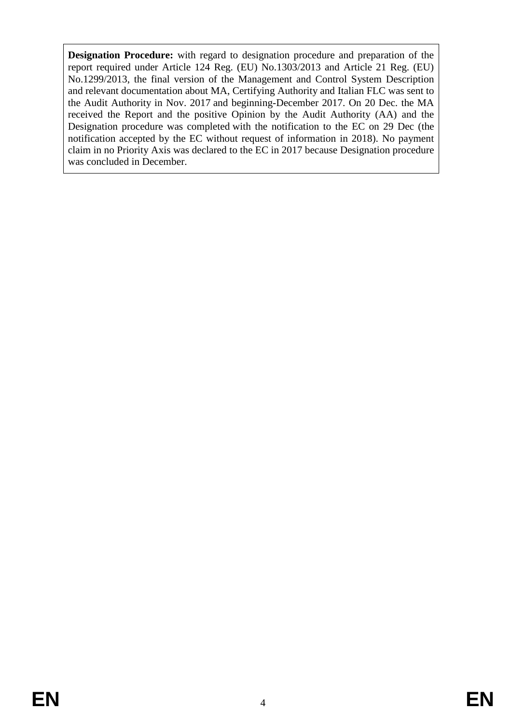**Designation Procedure:** with regard to designation procedure and preparation of the report required under Article 124 Reg. (EU) No.1303/2013 and Article 21 Reg. (EU) No.1299/2013, the final version of the Management and Control System Description and relevant documentation about MA, Certifying Authority and Italian FLC was sent to the Audit Authority in Nov. 2017 and beginning-December 2017. On 20 Dec. the MA received the Report and the positive Opinion by the Audit Authority (AA) and the Designation procedure was completed with the notification to the EC on 29 Dec (the notification accepted by the EC without request of information in 2018). No payment claim in no Priority Axis was declared to the EC in 2017 because Designation procedure was concluded in December.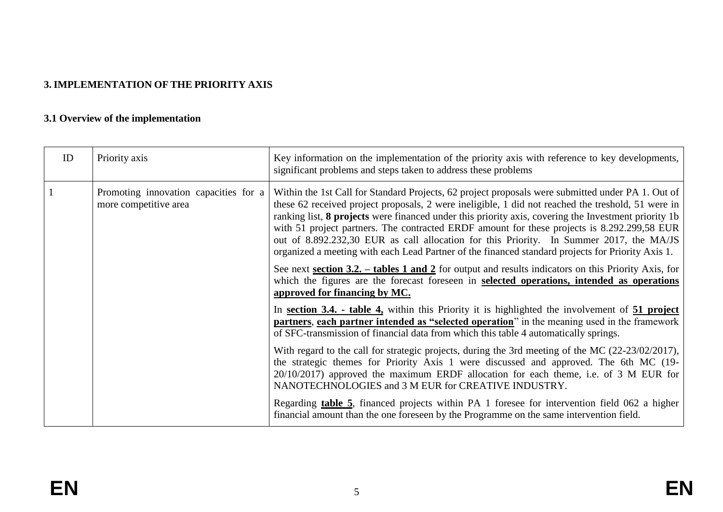# **3. IMPLEMENTATION OF THE PRIORITY AXIS**

# **3.1 Overview of the implementation**

| ID | Priority axis                                                  | Key information on the implementation of the priority axis with reference to key developments,<br>significant problems and steps taken to address these problems                                                                                                                                                                                                                                                                                                                                                                                                                                               |
|----|----------------------------------------------------------------|----------------------------------------------------------------------------------------------------------------------------------------------------------------------------------------------------------------------------------------------------------------------------------------------------------------------------------------------------------------------------------------------------------------------------------------------------------------------------------------------------------------------------------------------------------------------------------------------------------------|
|    | Promoting innovation capacities for a<br>more competitive area | Within the 1st Call for Standard Projects, 62 project proposals were submitted under PA 1. Out of<br>these 62 received project proposals, 2 were ineligible, 1 did not reached the treshold, 51 were in<br>ranking list, 8 projects were financed under this priority axis, covering the Investment priority 1b<br>with 51 project partners. The contracted ERDF amount for these projects is 8.292.299,58 EUR<br>out of 8.892.232,30 EUR as call allocation for this Priority. In Summer 2017, the MA/JS<br>organized a meeting with each Lead Partner of the financed standard projects for Priority Axis 1. |
|    |                                                                | See next section 3.2. $-$ tables 1 and 2 for output and results indicators on this Priority Axis, for<br>which the figures are the forecast foreseen in selected operations, intended as operations<br>approved for financing by MC.                                                                                                                                                                                                                                                                                                                                                                           |
|    |                                                                | In section 3.4. - table 4, within this Priority it is highlighted the involvement of 51 project<br>partners, each partner intended as "selected operation" in the meaning used in the framework<br>of SFC-transmission of financial data from which this table 4 automatically springs.                                                                                                                                                                                                                                                                                                                        |
|    |                                                                | With regard to the call for strategic projects, during the 3rd meeting of the MC (22-23/02/2017),<br>the strategic themes for Priority Axis 1 were discussed and approved. The 6th MC (19-<br>$20/10/2017$ ) approved the maximum ERDF allocation for each theme, i.e. of 3 M EUR for<br>NANOTECHNOLOGIES and 3 M EUR for CREATIVE INDUSTRY.                                                                                                                                                                                                                                                                   |
|    |                                                                | Regarding table 5, financed projects within PA 1 foresee for intervention field 062 a higher<br>financial amount than the one foreseen by the Programme on the same intervention field.                                                                                                                                                                                                                                                                                                                                                                                                                        |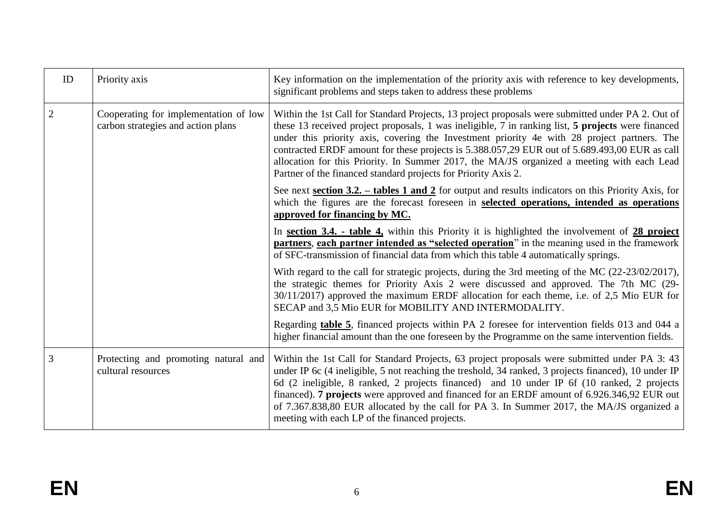| ID | Priority axis                                                               | Key information on the implementation of the priority axis with reference to key developments,<br>significant problems and steps taken to address these problems                                                                                                                                                                                                                                                                                                                                                                                                        |  |  |  |
|----|-----------------------------------------------------------------------------|-------------------------------------------------------------------------------------------------------------------------------------------------------------------------------------------------------------------------------------------------------------------------------------------------------------------------------------------------------------------------------------------------------------------------------------------------------------------------------------------------------------------------------------------------------------------------|--|--|--|
| 2  | Cooperating for implementation of low<br>carbon strategies and action plans | Within the 1st Call for Standard Projects, 13 project proposals were submitted under PA 2. Out of<br>these 13 received project proposals, 1 was ineligible, 7 in ranking list, 5 projects were financed<br>under this priority axis, covering the Investment priority 4e with 28 project partners. The<br>contracted ERDF amount for these projects is 5.388.057,29 EUR out of 5.689.493,00 EUR as call<br>allocation for this Priority. In Summer 2017, the MA/JS organized a meeting with each Lead<br>Partner of the financed standard projects for Priority Axis 2. |  |  |  |
|    |                                                                             | See next section 3.2. $-$ tables 1 and 2 for output and results indicators on this Priority Axis, for<br>which the figures are the forecast foreseen in selected operations, intended as operations<br>approved for financing by MC.                                                                                                                                                                                                                                                                                                                                    |  |  |  |
|    |                                                                             | In section 3.4. - table $4$ , within this Priority it is highlighted the involvement of $28$ project<br>partners, each partner intended as "selected operation" in the meaning used in the framework<br>of SFC-transmission of financial data from which this table 4 automatically springs.                                                                                                                                                                                                                                                                            |  |  |  |
|    |                                                                             | With regard to the call for strategic projects, during the 3rd meeting of the MC (22-23/02/2017),<br>the strategic themes for Priority Axis 2 were discussed and approved. The 7th MC (29-<br>30/11/2017) approved the maximum ERDF allocation for each theme, i.e. of 2,5 Mio EUR for<br>SECAP and 3,5 Mio EUR for MOBILITY AND INTERMODALITY.                                                                                                                                                                                                                         |  |  |  |
|    |                                                                             | Regarding table 5, financed projects within PA 2 foresee for intervention fields 013 and 044 a<br>higher financial amount than the one foreseen by the Programme on the same intervention fields.                                                                                                                                                                                                                                                                                                                                                                       |  |  |  |
| 3  | Protecting and promoting natural and<br>cultural resources                  | Within the 1st Call for Standard Projects, 63 project proposals were submitted under PA 3: 43<br>under IP 6c (4 ineligible, 5 not reaching the treshold, 34 ranked, 3 projects financed), 10 under IP<br>6d (2 ineligible, 8 ranked, 2 projects financed) and 10 under IP 6f (10 ranked, 2 projects<br>financed). 7 projects were approved and financed for an ERDF amount of 6.926.346,92 EUR out<br>of 7.367.838,80 EUR allocated by the call for PA 3. In Summer 2017, the MA/JS organized a<br>meeting with each LP of the financed projects.                       |  |  |  |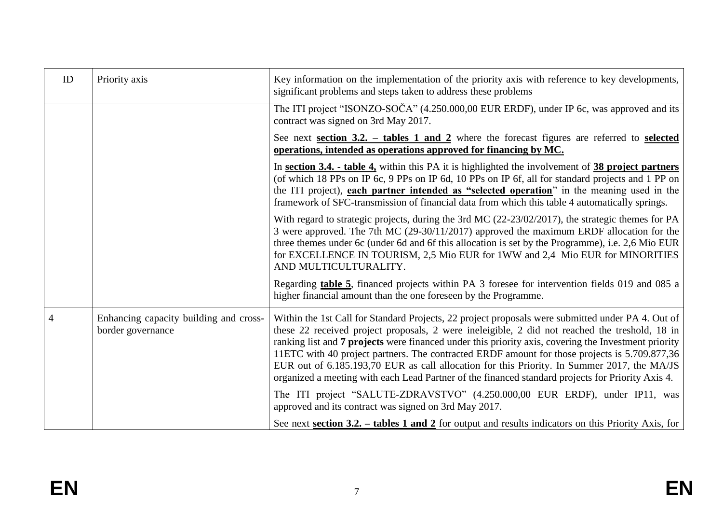| ID | Priority axis                                               | Key information on the implementation of the priority axis with reference to key developments,<br>significant problems and steps taken to address these problems                                                                                                                                                                                                                                                                                                                                                                                                                                                  |  |  |  |
|----|-------------------------------------------------------------|-------------------------------------------------------------------------------------------------------------------------------------------------------------------------------------------------------------------------------------------------------------------------------------------------------------------------------------------------------------------------------------------------------------------------------------------------------------------------------------------------------------------------------------------------------------------------------------------------------------------|--|--|--|
|    |                                                             | The ITI project "ISONZO-SOČA" (4.250.000,00 EUR ERDF), under IP 6c, was approved and its<br>contract was signed on 3rd May 2017.                                                                                                                                                                                                                                                                                                                                                                                                                                                                                  |  |  |  |
|    |                                                             | See next section $3.2$ . - tables 1 and 2 where the forecast figures are referred to selected<br>operations, intended as operations approved for financing by MC.                                                                                                                                                                                                                                                                                                                                                                                                                                                 |  |  |  |
|    |                                                             | In section 3.4. - table 4, within this PA it is highlighted the involvement of 38 project partners<br>(of which 18 PPs on IP 6c, 9 PPs on IP 6d, 10 PPs on IP 6f, all for standard projects and 1 PP on<br>the ITI project), each partner intended as "selected operation" in the meaning used in the<br>framework of SFC-transmission of financial data from which this table 4 automatically springs.                                                                                                                                                                                                           |  |  |  |
|    |                                                             | With regard to strategic projects, during the 3rd MC (22-23/02/2017), the strategic themes for PA<br>3 were approved. The 7th MC (29-30/11/2017) approved the maximum ERDF allocation for the<br>three themes under 6c (under 6d and 6f this allocation is set by the Programme), i.e. 2,6 Mio EUR<br>for EXCELLENCE IN TOURISM, 2,5 Mio EUR for 1WW and 2,4 Mio EUR for MINORITIES<br>AND MULTICULTURALITY.                                                                                                                                                                                                      |  |  |  |
|    |                                                             | Regarding table 5, financed projects within PA 3 foresee for intervention fields 019 and 085 a<br>higher financial amount than the one foreseen by the Programme.                                                                                                                                                                                                                                                                                                                                                                                                                                                 |  |  |  |
| 4  | Enhancing capacity building and cross-<br>border governance | Within the 1st Call for Standard Projects, 22 project proposals were submitted under PA 4. Out of<br>these 22 received project proposals, 2 were ineleigible, 2 did not reached the treshold, 18 in<br>ranking list and 7 projects were financed under this priority axis, covering the Investment priority<br>11 ETC with 40 project partners. The contracted ERDF amount for those projects is 5.709.877,36<br>EUR out of 6.185.193,70 EUR as call allocation for this Priority. In Summer 2017, the MA/JS<br>organized a meeting with each Lead Partner of the financed standard projects for Priority Axis 4. |  |  |  |
|    |                                                             | The ITI project "SALUTE-ZDRAVSTVO" (4.250.000,00 EUR ERDF), under IP11, was<br>approved and its contract was signed on 3rd May 2017.                                                                                                                                                                                                                                                                                                                                                                                                                                                                              |  |  |  |
|    |                                                             | See next section 3.2. $-$ tables 1 and 2 for output and results indicators on this Priority Axis, for                                                                                                                                                                                                                                                                                                                                                                                                                                                                                                             |  |  |  |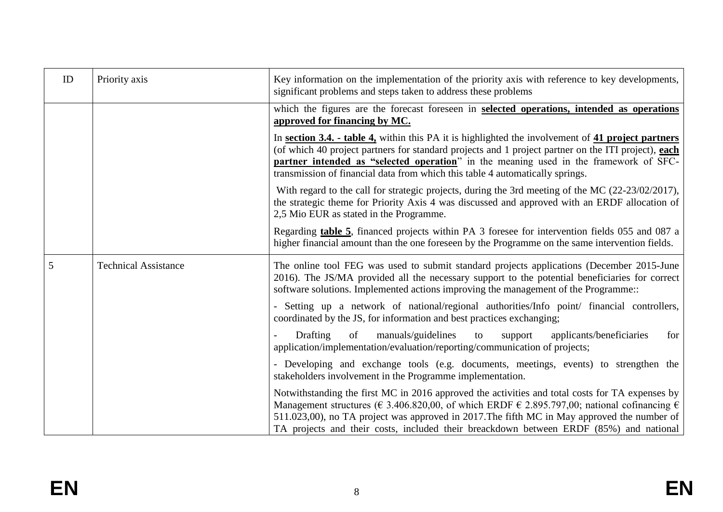| ID | Priority axis               | Key information on the implementation of the priority axis with reference to key developments,<br>significant problems and steps taken to address these problems                                                                                                                                                                                                                                     |  |  |  |  |  |
|----|-----------------------------|------------------------------------------------------------------------------------------------------------------------------------------------------------------------------------------------------------------------------------------------------------------------------------------------------------------------------------------------------------------------------------------------------|--|--|--|--|--|
|    |                             | which the figures are the forecast foreseen in selected operations, intended as operations<br>approved for financing by MC.                                                                                                                                                                                                                                                                          |  |  |  |  |  |
|    |                             | In section 3.4. - table 4, within this PA it is highlighted the involvement of 41 project partners<br>(of which 40 project partners for standard projects and 1 project partner on the ITI project), each<br>partner intended as "selected operation" in the meaning used in the framework of SFC-<br>transmission of financial data from which this table 4 automatically springs.                  |  |  |  |  |  |
|    |                             | With regard to the call for strategic projects, during the 3rd meeting of the MC (22-23/02/2017),<br>the strategic theme for Priority Axis 4 was discussed and approved with an ERDF allocation of<br>2,5 Mio EUR as stated in the Programme.                                                                                                                                                        |  |  |  |  |  |
|    |                             | Regarding table 5, financed projects within PA 3 foresee for intervention fields 055 and 087 a<br>higher financial amount than the one foreseen by the Programme on the same intervention fields.                                                                                                                                                                                                    |  |  |  |  |  |
| 5  | <b>Technical Assistance</b> | The online tool FEG was used to submit standard projects applications (December 2015-June<br>2016). The JS/MA provided all the necessary support to the potential beneficiaries for correct<br>software solutions. Implemented actions improving the management of the Programme                                                                                                                     |  |  |  |  |  |
|    |                             | - Setting up a network of national/regional authorities/Info point/ financial controllers,<br>coordinated by the JS, for information and best practices exchanging;                                                                                                                                                                                                                                  |  |  |  |  |  |
|    |                             | Drafting<br>manuals/guidelines<br>applicants/beneficiaries<br>for<br>of<br>to<br>support<br>application/implementation/evaluation/reporting/communication of projects;                                                                                                                                                                                                                               |  |  |  |  |  |
|    |                             | - Developing and exchange tools (e.g. documents, meetings, events) to strengthen the<br>stakeholders involvement in the Programme implementation.                                                                                                                                                                                                                                                    |  |  |  |  |  |
|    |                             | Notwithstanding the first MC in 2016 approved the activities and total costs for TA expenses by<br>Management structures ( $\in$ 3.406.820,00, of which ERDF $\in$ 2.895.797,00; national cofinancing $\in$<br>511.023,00), no TA project was approved in 2017. The fifth MC in May approved the number of<br>TA projects and their costs, included their breackdown between ERDF (85%) and national |  |  |  |  |  |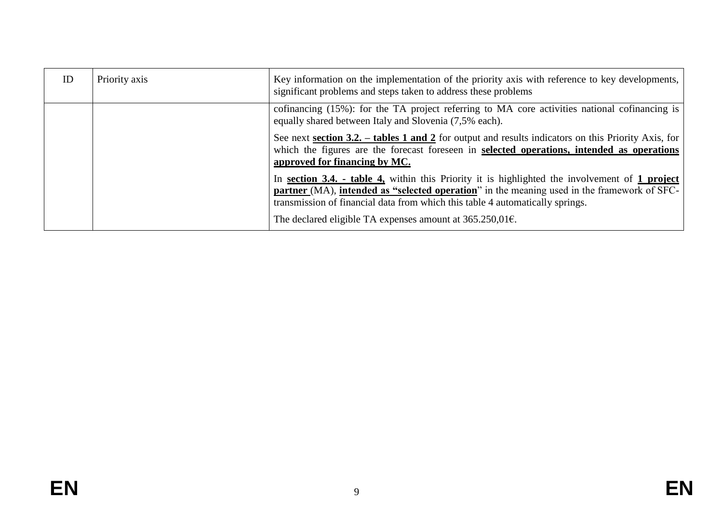| <b>ID</b> | Priority axis | Key information on the implementation of the priority axis with reference to key developments,<br>significant problems and steps taken to address these problems                                                                                                                              |  |  |
|-----------|---------------|-----------------------------------------------------------------------------------------------------------------------------------------------------------------------------------------------------------------------------------------------------------------------------------------------|--|--|
|           |               | cofinancing (15%): for the TA project referring to MA core activities national cofinancing is<br>equally shared between Italy and Slovenia (7,5% each).                                                                                                                                       |  |  |
|           |               | See next section 3.2. – tables 1 and 2 for output and results indicators on this Priority Axis, for<br>which the figures are the forecast foreseen in selected operations, intended as operations<br>approved for financing by MC.                                                            |  |  |
|           |               | In section 3.4. - table 4, within this Priority it is highlighted the involvement of 1 project<br><b>partner</b> (MA), <b>intended as "selected operation</b> " in the meaning used in the framework of SFC-<br>transmission of financial data from which this table 4 automatically springs. |  |  |
|           |               | The declared eligible TA expenses amount at $365.250,016$ .                                                                                                                                                                                                                                   |  |  |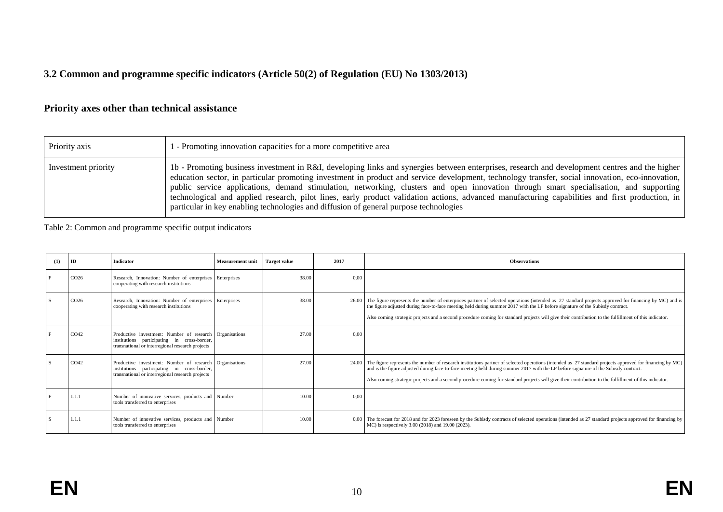# **3.2 Common and programme specific indicators (Article 50(2) of Regulation (EU) No 1303/2013)**

# **Priority axes other than technical assistance**

| Priority axis       | 1 - Promoting innovation capacities for a more competitive area                                                                                                                                                                                                                                                                                                                                                                                                                                                                                                                                                                                                                          |
|---------------------|------------------------------------------------------------------------------------------------------------------------------------------------------------------------------------------------------------------------------------------------------------------------------------------------------------------------------------------------------------------------------------------------------------------------------------------------------------------------------------------------------------------------------------------------------------------------------------------------------------------------------------------------------------------------------------------|
| Investment priority | 1b - Promoting business investment in R&I, developing links and synergies between enterprises, research and development centres and the higher<br>education sector, in particular promoting investment in product and service development, technology transfer, social innovation, eco-innovation,<br>public service applications, demand stimulation, networking, clusters and open innovation through smart specialisation, and supporting<br>technological and applied research, pilot lines, early product validation actions, advanced manufacturing capabilities and first production, in<br>particular in key enabling technologies and diffusion of general purpose technologies |

Table 2: Common and programme specific output indicators

| (1) | ID               | Indicator                                                                                                                                                  | <b>Measurement unit</b> | <b>Target value</b> | 2017 | <b>Observations</b>                                                                                                                                                                                                                                                                                                                                                                                                                                             |
|-----|------------------|------------------------------------------------------------------------------------------------------------------------------------------------------------|-------------------------|---------------------|------|-----------------------------------------------------------------------------------------------------------------------------------------------------------------------------------------------------------------------------------------------------------------------------------------------------------------------------------------------------------------------------------------------------------------------------------------------------------------|
|     | CO <sub>26</sub> | Research, Innovation: Number of enterprises Enterprises<br>cooperating with research institutions                                                          |                         | 38.00               | 0.00 |                                                                                                                                                                                                                                                                                                                                                                                                                                                                 |
|     | CO <sub>26</sub> | Research, Innovation: Number of enterprises Enterprises<br>cooperating with research institutions                                                          |                         | 38.00               |      | 26.00 The figure represents the number of enterprices partner of selected operations (intended as 27 standard projects approved for financing by MC) and is<br>the figure adjusted during face-to-face meeting held during summer 2017 with the LP before signature of the Subisdy contract.<br>Also coming strategic projects and a second procedure coming for standard projects will give their contribution to the fulfillment of this indicator.           |
|     | CO <sub>42</sub> | Productive investment: Number of research Organisations<br>institutions participating in cross-border,<br>transnational or interregional research projects |                         | 27.00               | 0.00 |                                                                                                                                                                                                                                                                                                                                                                                                                                                                 |
|     | CO <sub>42</sub> | Productive investment: Number of research Organisations<br>institutions participating in cross-border,<br>transnational or interregional research projects |                         | 27.00               |      | 24.00 The figure represents the number of research institutions partner of selected operations (intended as 27 standard projects approved for financing by MC)<br>and is the figure adjusted during face-to-face meeting held during summer 2017 with the LP before signature of the Subisdy contract.<br>Also coming strategic projects and a second procedure coming for standard projects will give their contribution to the fulfillment of this indicator. |
|     | 1.1.1            | Number of innovative services, products and Number<br>tools transferred to enterprises                                                                     |                         | 10.00               | 0,00 |                                                                                                                                                                                                                                                                                                                                                                                                                                                                 |
|     | 1.1.1            | Number of innovative services, products and Number<br>tools transferred to enterprises                                                                     |                         | 10.00               |      | 0,00 The forecast for 2018 and for 2023 foreseen by the Subisdy contracts of selected operations (intended as 27 standard projects approved for financing by<br>MC) is respectively 3.00 (2018) and 19.00 (2023).                                                                                                                                                                                                                                               |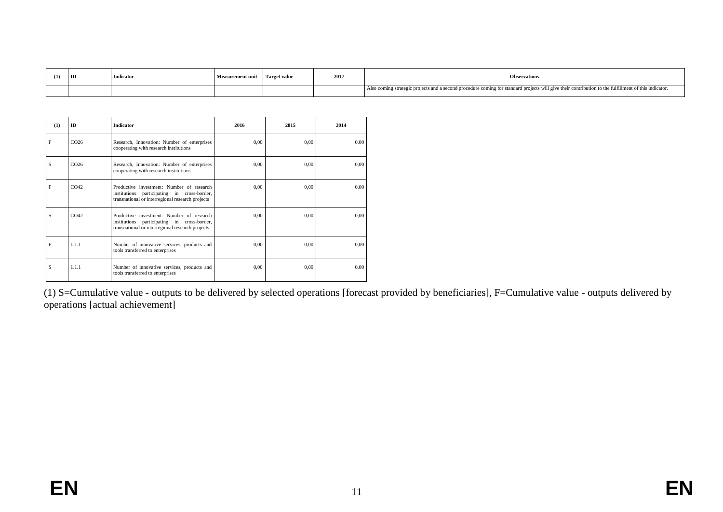| (1) | ID | Indicator | <b>Measurement unit</b> | Target value | 2017 | <b>Observations</b>                                                                                                                                   |
|-----|----|-----------|-------------------------|--------------|------|-------------------------------------------------------------------------------------------------------------------------------------------------------|
|     |    |           |                         |              |      | Also coming strategic projects and a second procedure coming for standard projects will give their contribution to the fulfillment of this indicator. |

| (1) | <b>ID</b>        | <b>Indicator</b>                                                                                                                             | 2016 | 2015 | 2014 |
|-----|------------------|----------------------------------------------------------------------------------------------------------------------------------------------|------|------|------|
| F   | CO <sub>26</sub> | Research, Innovation: Number of enterprises<br>cooperating with research institutions                                                        | 0.00 | 0.00 | 0.00 |
| S   | CO <sub>26</sub> | Research, Innovation: Number of enterprises<br>cooperating with research institutions                                                        | 0,00 | 0,00 | 0,00 |
| F   | CO <sub>42</sub> | Productive investment: Number of research<br>institutions participating in cross-border,<br>transnational or interregional research projects | 0,00 | 0,00 | 0.00 |
| S   | CO <sub>42</sub> | Productive investment: Number of research<br>institutions participating in cross-border,<br>transnational or interregional research projects | 0.00 | 0.00 | 0.00 |
| F   | 1.1.1            | Number of innovative services, products and<br>tools transferred to enterprises                                                              | 0.00 | 0.00 | 0.00 |
| S   | 1.1.1            | Number of innovative services, products and<br>tools transferred to enterprises                                                              | 0.00 | 0,00 | 0.00 |

(1) S=Cumulative value - outputs to be delivered by selected operations [forecast provided by beneficiaries], F=Cumulative value - outputs delivered by operations [actual achievement]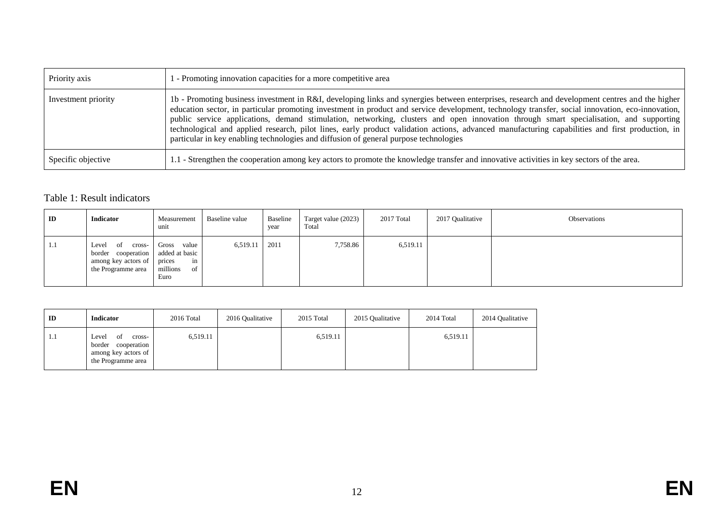| Priority axis       | 1 - Promoting innovation capacities for a more competitive area                                                                                                                                                                                                                                                                                                                                                                                                                                                                                                                                                                                                                          |
|---------------------|------------------------------------------------------------------------------------------------------------------------------------------------------------------------------------------------------------------------------------------------------------------------------------------------------------------------------------------------------------------------------------------------------------------------------------------------------------------------------------------------------------------------------------------------------------------------------------------------------------------------------------------------------------------------------------------|
| Investment priority | 1b - Promoting business investment in R&I, developing links and synergies between enterprises, research and development centres and the higher<br>education sector, in particular promoting investment in product and service development, technology transfer, social innovation, eco-innovation,<br>public service applications, demand stimulation, networking, clusters and open innovation through smart specialisation, and supporting<br>technological and applied research, pilot lines, early product validation actions, advanced manufacturing capabilities and first production, in<br>particular in key enabling technologies and diffusion of general purpose technologies |
| Specific objective  | 1.1 - Strengthen the cooperation among key actors to promote the knowledge transfer and innovative activities in key sectors of the area.                                                                                                                                                                                                                                                                                                                                                                                                                                                                                                                                                |

## Table 1: Result indicators

| ID  | <b>Indicator</b>                                                               | Measurement<br>unit                                                                    | Baseline value | Baseline<br>year | Target value (2023)<br>Total | 2017 Total | 2017 Qualitative | Observations |
|-----|--------------------------------------------------------------------------------|----------------------------------------------------------------------------------------|----------------|------------------|------------------------------|------------|------------------|--------------|
| 1.1 | Level<br>cross-<br>- of<br>border<br>among key actors of<br>the Programme area | Gross<br>value<br>cooperation added at basic<br>in<br>prices<br>millions<br>of<br>Euro | 6,519.11       | 2011             | 7,758.86                     | 6,519.11   |                  |              |

| ID  | <b>Indicator</b>                                                                            | 2016 Total | 2016 Qualitative | 2015 Total | 2015 Qualitative | 2014 Total | 2014 Qualitative |
|-----|---------------------------------------------------------------------------------------------|------------|------------------|------------|------------------|------------|------------------|
| 1.1 | Level<br>cross-<br>ΟĪ<br>cooperation<br>border<br>among key actors of<br>the Programme area | 6,519.11   |                  | 6,519.11   |                  | 6,519.11   |                  |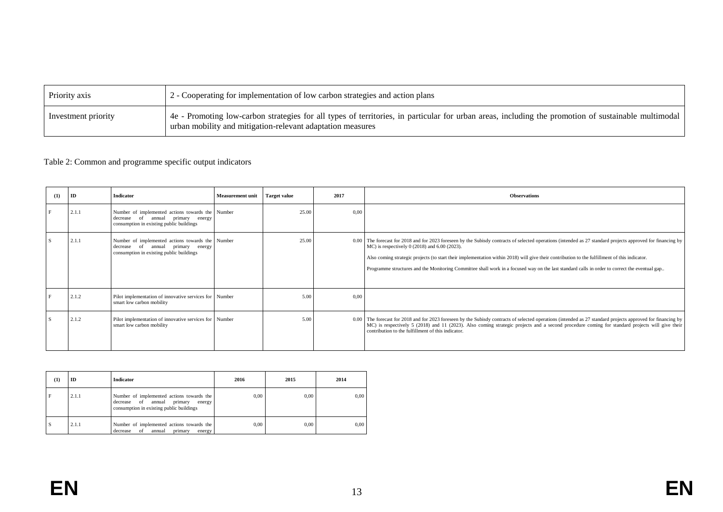| Priority axis       | $\frac{1}{2}$ - Cooperating for implementation of low carbon strategies and action plans                                                                                                                            |
|---------------------|---------------------------------------------------------------------------------------------------------------------------------------------------------------------------------------------------------------------|
| Investment priority | 4 4e - Promoting low-carbon strategies for all types of territories, in particular for urban areas, including the promotion of sustainable multimodal<br>urban mobility and mitigation-relevant adaptation measures |

#### Table 2: Common and programme specific output indicators

| (1) | ID    | Indicator                                                                                                                         | <b>Measurement unit</b> | <b>Target value</b> | 2017 | <b>Observations</b>                                                                                                                                                                                                                                                                                                                                                                                                                                                                                             |
|-----|-------|-----------------------------------------------------------------------------------------------------------------------------------|-------------------------|---------------------|------|-----------------------------------------------------------------------------------------------------------------------------------------------------------------------------------------------------------------------------------------------------------------------------------------------------------------------------------------------------------------------------------------------------------------------------------------------------------------------------------------------------------------|
|     | 2.1.1 | Number of implemented actions towards the Number<br>decrease of annual primary energy<br>consumption in existing public buildings |                         | 25.00               | 0.00 |                                                                                                                                                                                                                                                                                                                                                                                                                                                                                                                 |
|     | 2.1.1 | Number of implemented actions towards the Number<br>decrease of annual primary energy<br>consumption in existing public buildings |                         | 25.00               |      | 0.00 The forecast for 2018 and for 2023 foreseen by the Subisdy contracts of selected operations (intended as 27 standard projects approved for financing by<br>MC) is respectively 0 (2018) and 6.00 (2023).<br>Also coming strategic projects (to start their implementation within 2018) will give their contribution to the fulfillment of this indicator.<br>Programme structures and the Monitoring Committee shall work in a focused way on the last standard calls in order to correct the eventual gap |
|     | 2.1.2 | Pilot implementation of innovative services for Number<br>smart low carbon mobility                                               |                         | 5.00                | 0.00 |                                                                                                                                                                                                                                                                                                                                                                                                                                                                                                                 |
|     | 2.1.2 | Pilot implementation of innovative services for Number<br>smart low carbon mobility                                               |                         | 5.00                |      | 0.00 The forecast for 2018 and for 2023 foreseen by the Subisdy contracts of selected operations (intended as 27 standard projects approved for financing by<br>MC) is respectively 5 (2018) and 11 (2023). Also coming strategic projects and a second procedure coming for standard projects will give their<br>contribution to the fulfillment of this indicator.                                                                                                                                            |

| $\bf(1)$ | ID    | Indicator                                                                                                                        | 2016 | 2015 | 2014 |
|----------|-------|----------------------------------------------------------------------------------------------------------------------------------|------|------|------|
| l F      | 2.1.1 | Number of implemented actions towards the<br>primary<br>decrease of annual<br>energy<br>consumption in existing public buildings | 0.00 | 0.00 | 0,00 |
| l S      | 2.1.1 | Number of implemented actions towards the<br>of<br>annual<br>primary<br>decrease<br>energy                                       | 0.00 | 0.00 | 0,00 |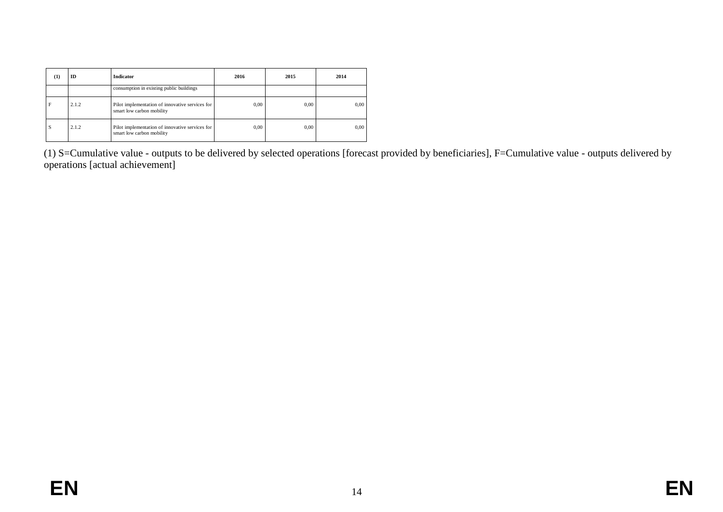| (1) | ID    | Indicator                                                                    | 2016 | 2015 | 2014 |
|-----|-------|------------------------------------------------------------------------------|------|------|------|
|     |       | consumption in existing public buildings                                     |      |      |      |
| F   | 2.1.2 | Pilot implementation of innovative services for<br>smart low carbon mobility | 0.00 | 0.00 | 0.00 |
| S   | 2.1.2 | Pilot implementation of innovative services for<br>smart low carbon mobility | 0.00 | 0.00 | 0.00 |

(1) S=Cumulative value - outputs to be delivered by selected operations [forecast provided by beneficiaries], F=Cumulative value - outputs delivered by operations [actual achievement]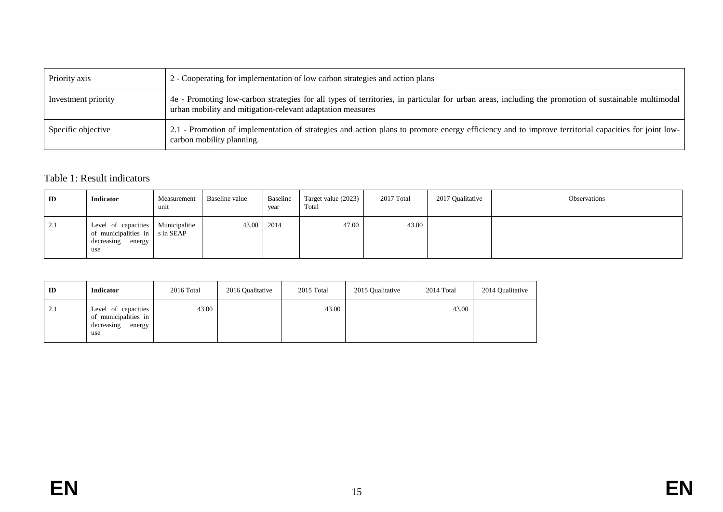| Priority axis       | 2 - Cooperating for implementation of low carbon strategies and action plans                                                                                                                                      |
|---------------------|-------------------------------------------------------------------------------------------------------------------------------------------------------------------------------------------------------------------|
| Investment priority | 4e - Promoting low-carbon strategies for all types of territories, in particular for urban areas, including the promotion of sustainable multimodal<br>urban mobility and mitigation-relevant adaptation measures |
| Specific objective  | 2.1 - Promotion of implementation of strategies and action plans to promote energy efficiency and to improve territorial capacities for joint low-<br>carbon mobility planning.                                   |

## Table 1: Result indicators

| ID  | <b>Indicator</b>                                                                                  | Measurement<br>unit | Baseline value | Baseline<br>year | Target value (2023)<br>Total | 2017 Total | 2017 Qualitative | Observations |
|-----|---------------------------------------------------------------------------------------------------|---------------------|----------------|------------------|------------------------------|------------|------------------|--------------|
| 2.1 | Level of capacities Municipalitie<br>of municipalities in sin SEAP<br>decreasing<br>energy<br>use |                     | 43.00          | 2014             | 47.00                        | 43.00      |                  |              |

| ID  | <b>Indicator</b>                                                           | 2016 Total | 2016 Qualitative | 2015 Total | 2015 Qualitative | 2014 Total | 2014 Qualitative |
|-----|----------------------------------------------------------------------------|------------|------------------|------------|------------------|------------|------------------|
| 2.1 | Level of capacities<br>of municipalities in<br>decreasing<br>energy<br>use | 43.00      |                  | 43.00      |                  | 43.00      |                  |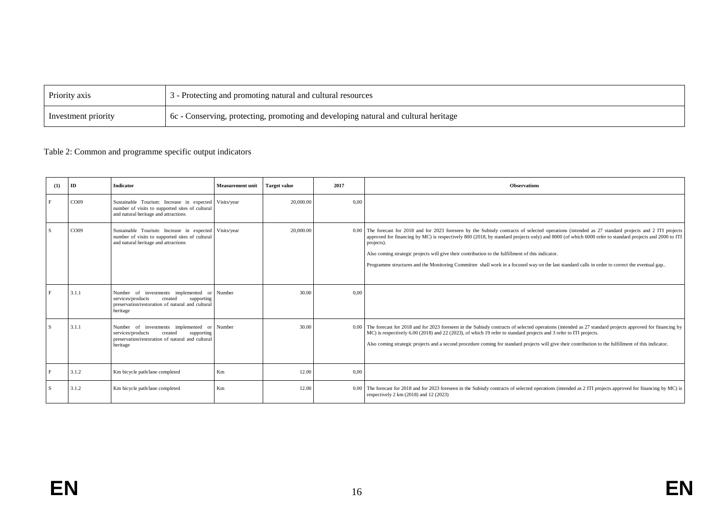| Priority axis       | 3 - Protecting and promoting natural and cultural resources                         |
|---------------------|-------------------------------------------------------------------------------------|
| Investment priority | 6c - Conserving, protecting, promoting and developing natural and cultural heritage |

#### Table 2: Common and programme specific output indicators

|              | (1) | ID               | Indicator                                                                                                                                                 | <b>Measurement unit</b> | <b>Target value</b> | 2017 | <b>Observations</b>                                                                                                                                                                                                                                                                                                                                                                                                                                                                                                                                                            |
|--------------|-----|------------------|-----------------------------------------------------------------------------------------------------------------------------------------------------------|-------------------------|---------------------|------|--------------------------------------------------------------------------------------------------------------------------------------------------------------------------------------------------------------------------------------------------------------------------------------------------------------------------------------------------------------------------------------------------------------------------------------------------------------------------------------------------------------------------------------------------------------------------------|
| F            |     | CO <sub>09</sub> | Sustainable Tourism: Increase in expected Visits/year<br>number of visits to supported sites of cultural<br>and natural heritage and attractions          |                         | 20,000,00           | 0.00 |                                                                                                                                                                                                                                                                                                                                                                                                                                                                                                                                                                                |
| S            |     | CO <sub>09</sub> | Sustainable Tourism: Increase in expected Visits/year<br>number of visits to supported sites of cultural<br>and natural heritage and attractions          |                         | 20.000.00           | 0.00 | The forecast for 2018 and for 2023 foreseen by the Subisdy contracts of selected operations (intended as 27 standard projects and 2 ITI projects<br>approved for financing by MC) is respectively 800 (2018, by standard projects only) and 8000 (of which 6000 refer to standard projects and 2000 to ITI<br>projects).<br>Also coming strategic projects will give their contribution to the fulfillment of this indicator.<br>Programme structures and the Monitoring Committee shall work in a focused way on the last standard calls in order to correct the eventual gap |
| $\mathbf{F}$ |     | 3.1.1            | Number of investments implemented or Number<br>services/products<br>created<br>supporting<br>preservation/restoration of natural and cultural<br>heritage |                         | 30.00               | 0.00 |                                                                                                                                                                                                                                                                                                                                                                                                                                                                                                                                                                                |
| S            |     | 3.1.1            | Number of investments implemented or Number<br>services/products<br>created<br>supporting<br>preservation/restoration of natural and cultural<br>heritage |                         | 30.00               |      | 0.00 The forecast for 2018 and for 2023 foreseen in the Subisdy contracts of selected operations (intended as 27 standard projects approved for financing by<br>MC) is respectively 6.00 (2018) and 22 (2023), of which 19 refer to standard projects and 3 refer to ITI projects.<br>Also coming strategic projects and a second procedure coming for standard projects will give their contribution to the fulfillment of this indicator.                                                                                                                                    |
| F            |     | 3.1.2            | Km bicycle path/lane completed                                                                                                                            | Km                      | 12.00               | 0.00 |                                                                                                                                                                                                                                                                                                                                                                                                                                                                                                                                                                                |
| S            |     | 3.1.2            | Km bicycle path/lane completed                                                                                                                            | Km                      | 12.00               |      | 0.00 The forecast for 2018 and for 2023 foreseen in the Subisdy contracts of selected operations (intended as 2 ITI projects approved for financing by MC) is<br>respectively $2 \text{ km} (2018)$ and $12 (2023)$                                                                                                                                                                                                                                                                                                                                                            |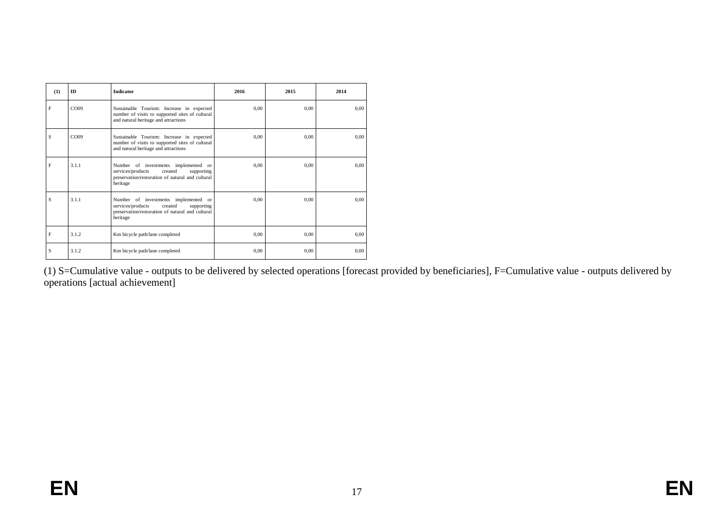| (1) | <b>ID</b>        | <b>Indicator</b>                                                                                                                                   | 2016 | 2015 | 2014 |
|-----|------------------|----------------------------------------------------------------------------------------------------------------------------------------------------|------|------|------|
| F   | CO <sub>09</sub> | Sustainable Tourism: Increase in expected<br>number of visits to supported sites of cultural<br>and natural heritage and attractions               | 0.00 | 0.00 | 0.00 |
| S   | CO <sub>09</sub> | Sustainable Tourism: Increase in expected<br>number of visits to supported sites of cultural<br>and natural heritage and attractions               | 0.00 | 0.00 | 0.00 |
| F   | 3.1.1            | Number of investments implemented or<br>services/products<br>created<br>supporting<br>preservation/restoration of natural and cultural<br>heritage | 0.00 | 0.00 | 0.00 |
| S   | 3.1.1            | Number of investments implemented or<br>created<br>services/products<br>supporting<br>preservation/restoration of natural and cultural<br>heritage | 0.00 | 0.00 | 0.00 |
| F   | 3.1.2            | Km bicycle path/lane completed                                                                                                                     | 0.00 | 0.00 | 0.00 |
| S   | 3.1.2            | Km bicycle path/lane completed                                                                                                                     | 0.00 | 0.00 | 0.00 |

(1) S=Cumulative value - outputs to be delivered by selected operations [forecast provided by beneficiaries], F=Cumulative value - outputs delivered by operations [actual achievement]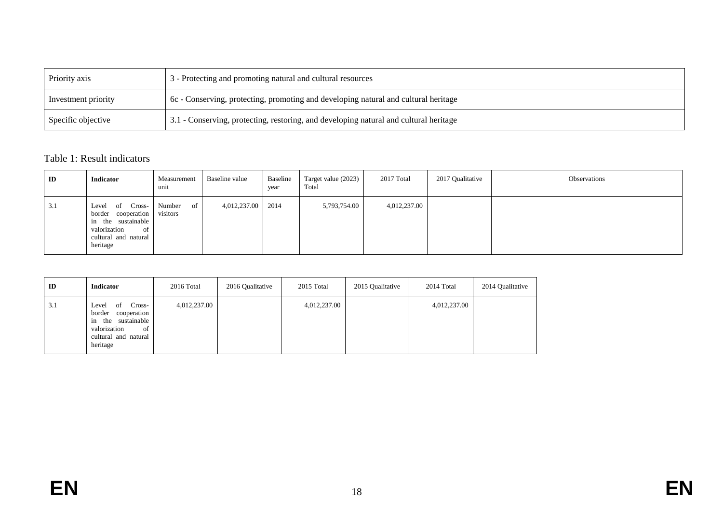| Priority axis       | 3 - Protecting and promoting natural and cultural resources                           |  |  |  |  |
|---------------------|---------------------------------------------------------------------------------------|--|--|--|--|
| Investment priority | 6c - Conserving, protecting, promoting and developing natural and cultural heritage   |  |  |  |  |
| Specific objective  | 3.1 - Conserving, protecting, restoring, and developing natural and cultural heritage |  |  |  |  |

# Table 1: Result indicators

| $\mathbf{ID}$ | Indicator                                                                                                                          | Measurement<br>unit      | Baseline value | Baseline<br>year | Target value (2023)<br>Total | 2017 Total   | 2017 Qualitative | Observations |
|---------------|------------------------------------------------------------------------------------------------------------------------------------|--------------------------|----------------|------------------|------------------------------|--------------|------------------|--------------|
| 3.1           | Cross-<br>Level<br>- of<br>cooperation  <br>border<br>in the sustainable<br>valorization<br>of<br>cultural and natural<br>heritage | Number<br>of<br>visitors | 4,012,237.00   | 2014             | 5,793,754.00                 | 4,012,237.00 |                  |              |

| ID  | <b>Indicator</b>                                                                                                                   | 2016 Total   | 2016 Qualitative | 2015 Total   | 2015 Qualitative | 2014 Total   | 2014 Qualitative |
|-----|------------------------------------------------------------------------------------------------------------------------------------|--------------|------------------|--------------|------------------|--------------|------------------|
| 3.1 | Cross-<br>Level<br>-of<br>border<br>cooperation<br>the sustainable<br>1n<br>valorization<br>of<br>cultural and natural<br>heritage | 4,012,237.00 |                  | 4,012,237.00 |                  | 4,012,237.00 |                  |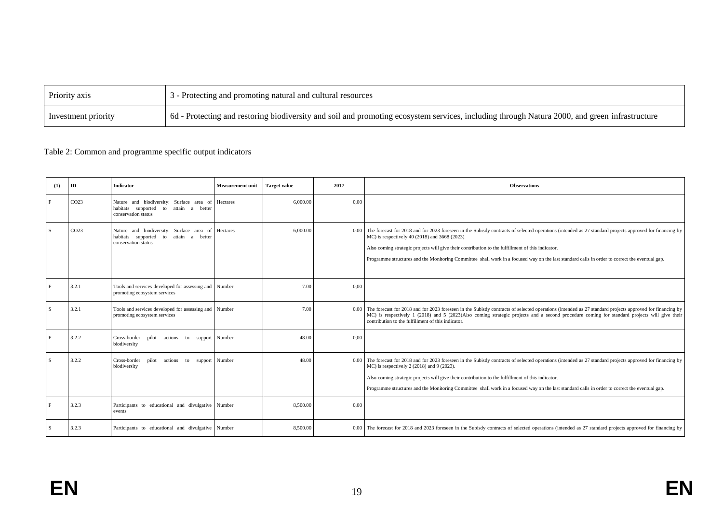| Priority axis       | 3 - Protecting and promoting natural and cultural resources                                                                                   |
|---------------------|-----------------------------------------------------------------------------------------------------------------------------------------------|
| Investment priority | 6d - Protecting and restoring biodiversity and soil and promoting ecosystem services, including through Natura 2000, and green infrastructure |

## Table 2: Common and programme specific output indicators

| (1) | ID               | <b>Indicator</b>                                                                                                  | <b>Measurement unit</b> | <b>Target value</b> | 2017 | <b>Observations</b>                                                                                                                                                                                                                                                                                                                                                                                                                                              |
|-----|------------------|-------------------------------------------------------------------------------------------------------------------|-------------------------|---------------------|------|------------------------------------------------------------------------------------------------------------------------------------------------------------------------------------------------------------------------------------------------------------------------------------------------------------------------------------------------------------------------------------------------------------------------------------------------------------------|
| F   | CO <sub>23</sub> | Nature and biodiversity: Surface area of Hectares<br>habitats supported to attain a better<br>conservation status |                         | 6.000.00            | 0,00 |                                                                                                                                                                                                                                                                                                                                                                                                                                                                  |
| S   | CO <sub>23</sub> | Nature and biodiversity: Surface area of Hectares<br>habitats supported to attain a better<br>conservation status |                         | 6,000.00            | 0.00 | The forecast for 2018 and for 2023 foreseen in the Subisdy contracts of selected operations (intended as 27 standard projects approved for financing by<br>MC) is respectively 40 (2018) and 3668 (2023).<br>Also coming strategic projects will give their contribution to the fulfillment of this indicator.<br>Programme structures and the Monitoring Committee shall work in a focused way on the last standard calls in order to correct the eventual gap. |
| F   | 3.2.1            | Tools and services developed for assessing and Number<br>promoting ecosystem services                             |                         | 7.00                | 0,00 |                                                                                                                                                                                                                                                                                                                                                                                                                                                                  |
| S   | 3.2.1            | Tools and services developed for assessing and Number<br>promoting ecosystem services                             |                         | 7.00                | 0.00 | The forecast for 2018 and for 2023 foreseen in the Subisdy contracts of selected operations (intended as 27 standard projects approved for financing by<br>MC) is respectively 1 (2018) and 5 (2023)Also coming strategic projects and a second procedure coming for standard projects will give their<br>contribution to the fulfillment of this indicator.                                                                                                     |
| F   | 3.2.2            | Cross-border pilot actions to support Number<br>biodiversity                                                      |                         | 48.00               | 0.00 |                                                                                                                                                                                                                                                                                                                                                                                                                                                                  |
| S   | 3.2.2            | Cross-border pilot actions to support Number<br>biodiversity                                                      |                         | 48.00               | 0.00 | The forecast for 2018 and for 2023 foreseen in the Subisdy contracts of selected operations (intended as 27 standard projects approved for financing by<br>MC) is respectively 2 (2018) and 9 (2023).<br>Also coming strategic projects will give their contribution to the fulfillment of this indicator.<br>Programme structures and the Monitoring Committee shall work in a focused way on the last standard calls in order to correct the eventual gap.     |
| F   | 3.2.3            | Participants to educational and divulgative Number<br>events                                                      |                         | 8,500.00            | 0,00 |                                                                                                                                                                                                                                                                                                                                                                                                                                                                  |
| S   | 3.2.3            | Participants to educational and divulgative Number                                                                |                         | 8,500.00            |      | 0.00 The forecast for 2018 and 2023 foreseen in the Subisdy contracts of selected operations (intended as 27 standard projects approved for financing by                                                                                                                                                                                                                                                                                                         |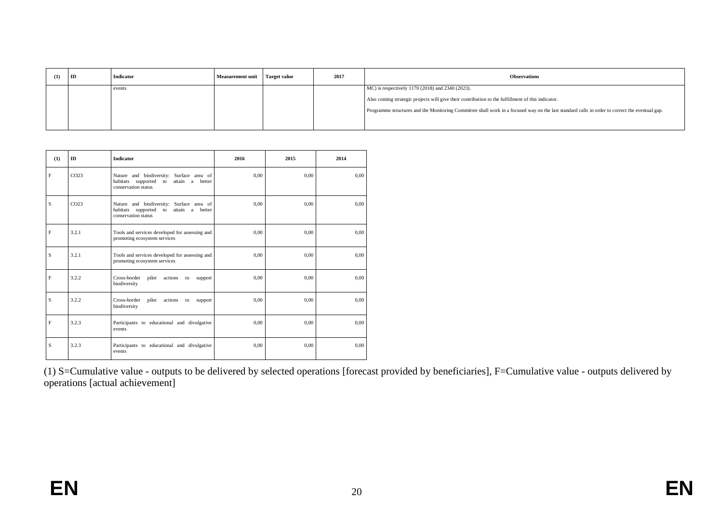| (1) | ID | <b>Indicator</b> | <b>Measurement unit</b> | <b>Target value</b> | 2017 | <b>Observations</b>                                                                                                                            |  |
|-----|----|------------------|-------------------------|---------------------|------|------------------------------------------------------------------------------------------------------------------------------------------------|--|
|     |    | events           |                         |                     |      | MC) is respectively 1170 (2018) and 2340 (2023).                                                                                               |  |
|     |    |                  |                         |                     |      | Also coming strategic projects will give their contribution to the fulfillment of this indicator.                                              |  |
|     |    |                  |                         |                     |      | Programme structures and the Monitoring Committee shall work in a focused way on the last standard calls in order to correct the eventual gap. |  |
|     |    |                  |                         |                     |      |                                                                                                                                                |  |

| (1) | ID               | <b>Indicator</b>                                                                                            | 2016 | 2015 | 2014 |
|-----|------------------|-------------------------------------------------------------------------------------------------------------|------|------|------|
| F   | CO <sub>23</sub> | Nature and biodiversity: Surface area of<br>habitats supported to attain<br>a better<br>conservation status | 0.00 | 0.00 | 0,00 |
| S   | CO <sub>23</sub> | Nature and biodiversity: Surface area of<br>habitats supported to attain a better<br>conservation status    | 0.00 | 0.00 | 0,00 |
| F   | 3.2.1            | Tools and services developed for assessing and<br>promoting ecosystem services                              | 0.00 | 0.00 | 0.00 |
| S   | 3.2.1            | Tools and services developed for assessing and<br>promoting ecosystem services                              | 0.00 | 0.00 | 0.00 |
| F   | 3.2.2            | Cross-border<br>actions<br>pilot<br>to<br>support<br>biodiversity                                           | 0.00 | 0.00 | 0.00 |
| S   | 3.2.2            | Cross-border<br>pilot<br>actions<br>to<br>support<br>biodiversity                                           | 0.00 | 0.00 | 0.00 |
| F   | 3.2.3            | Participants to educational and divulgative<br>events                                                       | 0.00 | 0,00 | 0.00 |
| S   | 3.2.3            | Participants to educational and divulgative<br>events                                                       | 0,00 | 0,00 | 0,00 |

(1) S=Cumulative value - outputs to be delivered by selected operations [forecast provided by beneficiaries], F=Cumulative value - outputs delivered by operations [actual achievement]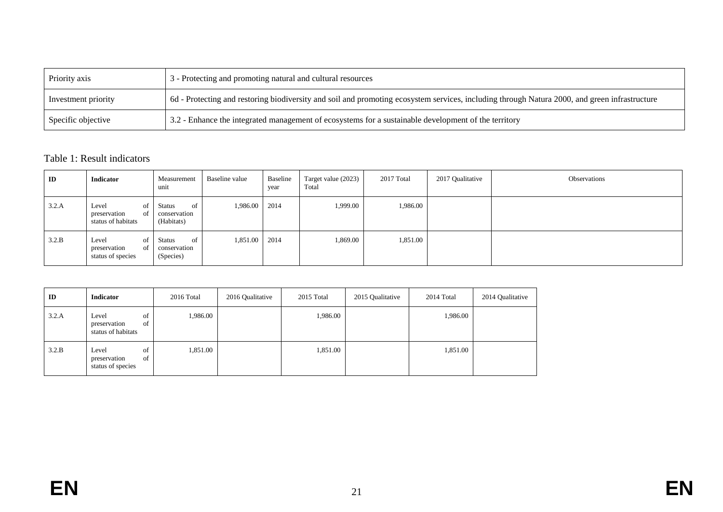| Priority axis       | 3 - Protecting and promoting natural and cultural resources                                                                                   |
|---------------------|-----------------------------------------------------------------------------------------------------------------------------------------------|
| Investment priority | 6d - Protecting and restoring biodiversity and soil and promoting ecosystem services, including through Natura 2000, and green infrastructure |
| Specific objective  | 3.2 - Enhance the integrated management of ecosystems for a sustainable development of the territory                                          |

# Table 1: Result indicators

| ID    | Indicator                                                   | Measurement<br>unit                               | Baseline value | Baseline<br>year | Target value (2023)<br>Total | 2017 Total | 2017 Qualitative | Observations |
|-------|-------------------------------------------------------------|---------------------------------------------------|----------------|------------------|------------------------------|------------|------------------|--------------|
| 3.2.A | of  <br>Level<br>of  <br>preservation<br>status of habitats | of<br><b>Status</b><br>conservation<br>(Habitats) | 1,986.00 2014  |                  | 1,999.00                     | 1,986.00   |                  |              |
| 3.2.B | of  <br>Level<br>of  <br>preservation<br>status of species  | of '<br>Status<br>conservation<br>(Species)       | 1,851.00 2014  |                  | 1,869.00                     | 1,851.00   |                  |              |

| ID    | Indicator                                               | 2016 Total | 2016 Qualitative | 2015 Total | 2015 Qualitative | 2014 Total | 2014 Qualitative |
|-------|---------------------------------------------------------|------------|------------------|------------|------------------|------------|------------------|
| 3.2.A | of<br>Level<br>of<br>preservation<br>status of habitats | .986.00    |                  | 1,986.00   |                  | 1,986.00   |                  |
| 3.2.B | of<br>Level<br>of<br>preservation<br>status of species  | 1,851.00   |                  | 1,851.00   |                  | 1,851.00   |                  |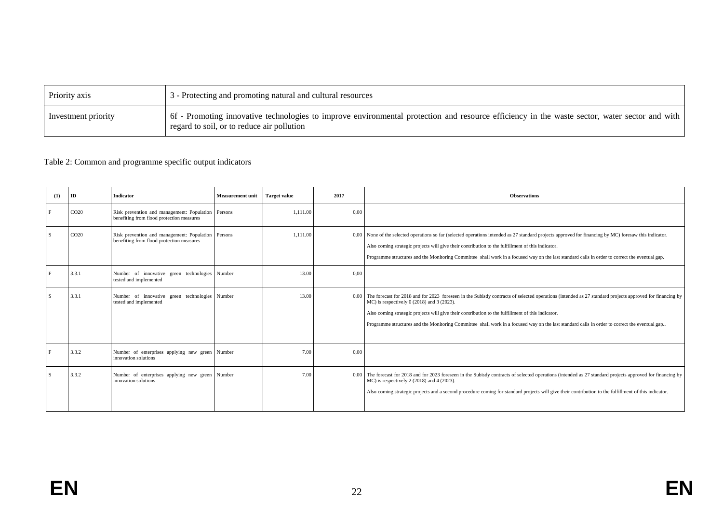| Priority axis       | 3 - Protecting and promoting natural and cultural resources                                                                                                                                 |
|---------------------|---------------------------------------------------------------------------------------------------------------------------------------------------------------------------------------------|
| Investment priority | 6f - Promoting innovative technologies to improve environmental protection and resource efficiency in the waste sector, water sector and with<br>regard to soil, or to reduce air pollution |

#### Table 2: Common and programme specific output indicators

| (1)          | ID               | <b>Indicator</b>                                                                                | <b>Measurement unit</b> | <b>Target value</b> | 2017 | <b>Observations</b>                                                                                                                                                                                                                                                                                                                                                                                                                                                 |
|--------------|------------------|-------------------------------------------------------------------------------------------------|-------------------------|---------------------|------|---------------------------------------------------------------------------------------------------------------------------------------------------------------------------------------------------------------------------------------------------------------------------------------------------------------------------------------------------------------------------------------------------------------------------------------------------------------------|
| E            | CO <sub>20</sub> | Risk prevention and management: Population Persons<br>benefiting from flood protection measures |                         | 1.111.00            | 0,00 |                                                                                                                                                                                                                                                                                                                                                                                                                                                                     |
| <sup>S</sup> | CO <sub>20</sub> | Risk prevention and management: Population Persons<br>benefiting from flood protection measures |                         | 1.111.00            |      | 0,00 None of the selected operations so far (selected operations intended as 27 standard projects approved for financing by MC) foresaw this indicator.<br>Also coming strategic projects will give their contribution to the fulfillment of this indicator.<br>Programme structures and the Monitoring Committee shall work in a focused way on the last standard calls in order to correct the eventual gap.                                                      |
|              | 3.3.1            | Number of innovative green technologies Number<br>tested and implemented                        |                         | 13.00               | 0,00 |                                                                                                                                                                                                                                                                                                                                                                                                                                                                     |
| -S           | 3.3.1            | Number of innovative green technologies Number<br>tested and implemented                        |                         | 13.00               |      | 0.00 The forecast for 2018 and for 2023 foreseen in the Subisdy contracts of selected operations (intended as 27 standard projects approved for financing by<br>$MC$ ) is respectively 0 (2018) and 3 (2023).<br>Also coming strategic projects will give their contribution to the fulfillment of this indicator.<br>Programme structures and the Monitoring Committee shall work in a focused way on the last standard calls in order to correct the eventual gap |
| E            | 3.3.2            | Number of enterprises applying new green Number<br>innovation solutions                         |                         | 7.00                | 0,00 |                                                                                                                                                                                                                                                                                                                                                                                                                                                                     |
| -S           | 3.3.2            | Number of enterprises applying new green Number<br>innovation solutions                         |                         | 7.00                |      | 0.00 The forecast for 2018 and for 2023 foreseen in the Subisdy contracts of selected operations (intended as 27 standard projects approved for financing by<br>MC) is respectively 2 (2018) and 4 (2023).<br>Also coming strategic projects and a second procedure coming for standard projects will give their contribution to the fulfillment of this indicator.                                                                                                 |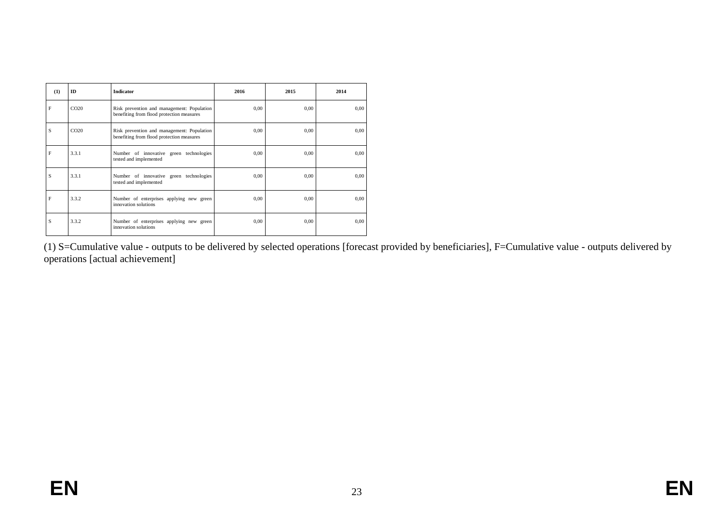| (1) | ID               | <b>Indicator</b>                                                                        | 2016 | 2015     | 2014 |
|-----|------------------|-----------------------------------------------------------------------------------------|------|----------|------|
| F   | CO <sub>20</sub> | Risk prevention and management: Population<br>benefiting from flood protection measures | 0,00 | 0.00     | 0,00 |
| S   | CO <sub>20</sub> | Risk prevention and management: Population<br>benefiting from flood protection measures | 0,00 | 0.00     | 0.00 |
| F   | 3.3.1            | Number of innovative green technologies<br>tested and implemented                       | 0,00 | 0,00     | 0,00 |
| S   | 3.3.1            | Number of innovative green technologies<br>tested and implemented                       | 0,00 | $0.00\,$ | 0,00 |
| F   | 3.3.2            | Number of enterprises applying new green<br>innovation solutions                        | 0,00 | 0,00     | 0,00 |
| S   | 3.3.2            | Number of enterprises applying new green<br>innovation solutions                        | 0,00 | $0.00\,$ | 0,00 |

(1) S=Cumulative value - outputs to be delivered by selected operations [forecast provided by beneficiaries], F=Cumulative value - outputs delivered by operations [actual achievement]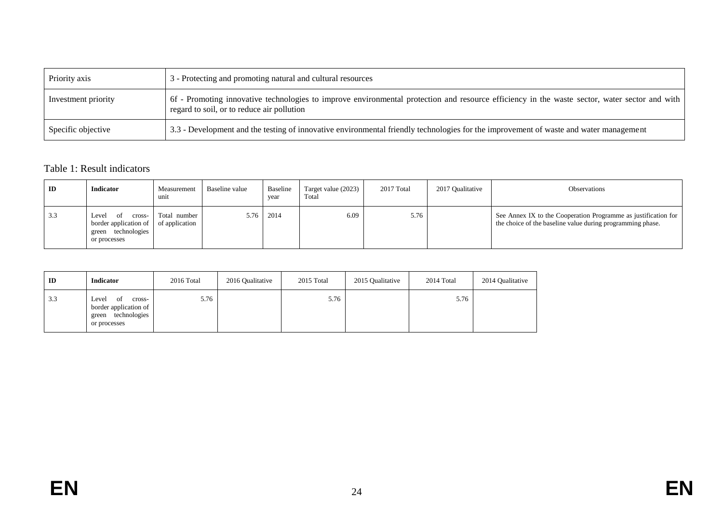| Priority axis       | 3 - Protecting and promoting natural and cultural resources                                                                                                                                 |
|---------------------|---------------------------------------------------------------------------------------------------------------------------------------------------------------------------------------------|
| Investment priority | 6f - Promoting innovative technologies to improve environmental protection and resource efficiency in the waste sector, water sector and with<br>regard to soil, or to reduce air pollution |
| Specific objective  | 3.3 - Development and the testing of innovative environmental friendly technologies for the improvement of waste and water management                                                       |

## Table 1: Result indicators

| ID  | <b>Indicator</b>                                                                         | Measurement<br>unit            | Baseline value | Baseline<br>vear | Target value $(2023)$<br>Total | 2017 Total | 2017 Oualitative | <b>Observations</b>                                                                                                          |
|-----|------------------------------------------------------------------------------------------|--------------------------------|----------------|------------------|--------------------------------|------------|------------------|------------------------------------------------------------------------------------------------------------------------------|
| 3.3 | Level<br>cross-<br>. വ<br>border application of<br>technologies<br>green<br>or processes | Total number<br>of application | 5.76           | 2014             | 6.09                           | 5.76       |                  | See Annex IX to the Cooperation Programme as justification for<br>the choice of the baseline value during programming phase. |

| $_{\rm ID}$ | <b>Indicator</b>                                                                        | 2016 Total | 2016 Qualitative | 2015 Total | 2015 Qualitative | 2014 Total | 2014 Qualitative |
|-------------|-----------------------------------------------------------------------------------------|------------|------------------|------------|------------------|------------|------------------|
| 3.3         | Level<br>cross-<br>of<br>border application of<br>technologies<br>green<br>or processes | 5.76       |                  | 5.76       |                  | 5.76       |                  |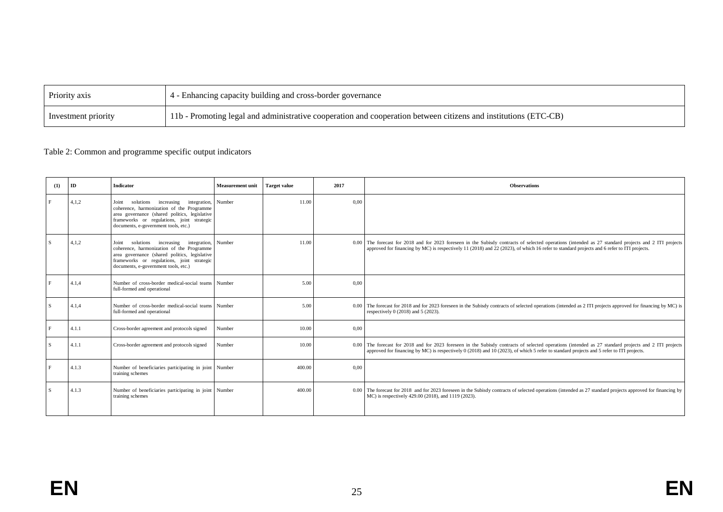| Priority axis       | 4 - Enhancing capacity building and cross-border governance                                                     |
|---------------------|-----------------------------------------------------------------------------------------------------------------|
| Investment priority | 11b - Promoting legal and administrative cooperation and cooperation between citizens and institutions (ETC-CB) |

## Table 2: Common and programme specific output indicators

| (1) | ID    | <b>Indicator</b>                                                                                                                                                                                                                            | <b>Measurement unit</b> | <b>Target value</b> | 2017 | <b>Observations</b>                                                                                                                                                                                                                                                                                 |
|-----|-------|---------------------------------------------------------------------------------------------------------------------------------------------------------------------------------------------------------------------------------------------|-------------------------|---------------------|------|-----------------------------------------------------------------------------------------------------------------------------------------------------------------------------------------------------------------------------------------------------------------------------------------------------|
| F   | 4,1,2 | integration, Number<br>solutions<br>increasing<br>Joint<br>coherence, harmonization of the Programme<br>area governance (shared politics, legislative<br>frameworks or regulations, joint strategic<br>documents, e-government tools, etc.) |                         | 11.00               | 0.00 |                                                                                                                                                                                                                                                                                                     |
| S   | 4,1,2 | integration, Number<br>increasing<br>solutions<br>Joint<br>coherence, harmonization of the Programme<br>area governance (shared politics, legislative<br>frameworks or regulations, joint strategic<br>documents, e-government tools, etc.) |                         | 11.00               |      | 0.00 The forecast for 2018 and for 2023 foreseen in the Subisdy contracts of selected operations (intended as 27 standard projects and 2 ITI projects<br>approved for financing by MC) is respectively 11 (2018) and 22 (2023), of which 16 refer to standard projects and 6 refer to ITI projects. |
|     | 4.1,4 | Number of cross-border medical-social teams Number<br>full-formed and operational                                                                                                                                                           |                         | 5.00                | 0,00 |                                                                                                                                                                                                                                                                                                     |
| S   | 4.1,4 | Number of cross-border medical-social teams Number<br>full-formed and operational                                                                                                                                                           |                         | 5.00                |      | 0.00 The forecast for 2018 and for 2023 foreseen in the Subisdy contracts of selected operations (intended as 2 ITI projects approved for financing by MC) is<br>respectively $0(2018)$ and $5(2023)$ .                                                                                             |
| F   | 4.1.1 | Cross-border agreement and protocols signed                                                                                                                                                                                                 | Number                  | 10.00               | 0,00 |                                                                                                                                                                                                                                                                                                     |
| S   | 4.1.1 | Cross-border agreement and protocols signed                                                                                                                                                                                                 | Number                  | 10.00               |      | 0.00 The forecast for 2018 and for 2023 foreseen in the Subisdy contracts of selected operations (intended as 27 standard projects and 2 ITI projects<br>approved for financing by MC) is respectively 0 (2018) and 10 (2023), of which 5 refer to standard projects and 5 refer to ITI projects.   |
| F   | 4.1.3 | Number of beneficiaries participating in joint Number<br>training schemes                                                                                                                                                                   |                         | 400.00              | 0.00 |                                                                                                                                                                                                                                                                                                     |
| S   | 4.1.3 | Number of beneficiaries participating in joint Number<br>training schemes                                                                                                                                                                   |                         | 400.00              | 0.00 | The forecast for 2018 and for 2023 foreseen in the Subisdy contracts of selected operations (intended as 27 standard projects approved for financing by<br>MC) is respectively 429.00 (2018), and 1119 (2023).                                                                                      |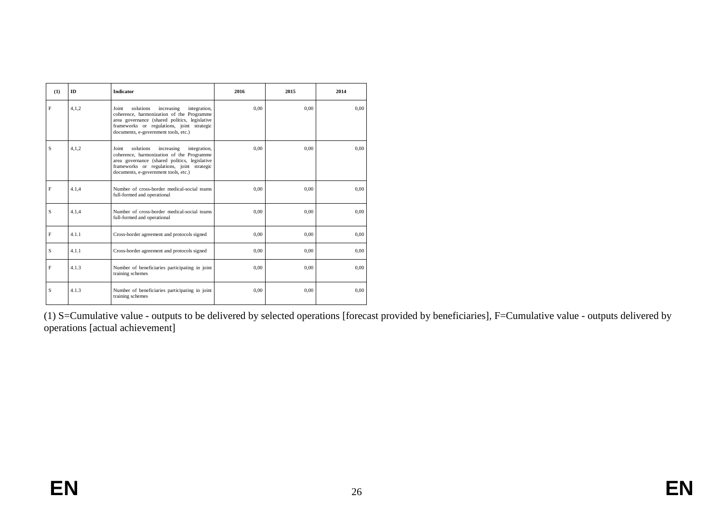| (1)         | <b>ID</b> | <b>Indicator</b>                                                                                                                                                                                                                     | 2016 | 2015 | 2014 |
|-------------|-----------|--------------------------------------------------------------------------------------------------------------------------------------------------------------------------------------------------------------------------------------|------|------|------|
| F           | 4.1.2     | solutions<br>Joint<br>increasing<br>integration,<br>coherence, harmonization of the Programme<br>area governance (shared politics, legislative<br>frameworks or regulations, joint strategic<br>documents, e-government tools, etc.) | 0.00 | 0.00 | 0.00 |
| S           | 4.1.2     | solutions<br>increasing<br>integration,<br>Joint<br>coherence, harmonization of the Programme<br>area governance (shared politics, legislative<br>frameworks or regulations, joint strategic<br>documents, e-government tools, etc.) | 0.00 | 0.00 | 0.00 |
| F           | 4.1.4     | Number of cross-border medical-social teams<br>full-formed and operational                                                                                                                                                           | 0.00 | 0.00 | 0.00 |
| S           | 4.1.4     | Number of cross-border medical-social teams<br>full-formed and operational                                                                                                                                                           | 0.00 | 0.00 | 0.00 |
| $\mathbf F$ | 4.1.1     | Cross-border agreement and protocols signed                                                                                                                                                                                          | 0.00 | 0.00 | 0,00 |
| S           | 4.1.1     | Cross-border agreement and protocols signed                                                                                                                                                                                          | 0.00 | 0.00 | 0.00 |
| F           | 4.1.3     | Number of beneficiaries participating in joint<br>training schemes                                                                                                                                                                   | 0.00 | 0.00 | 0.00 |
| S           | 4.1.3     | Number of beneficiaries participating in joint<br>training schemes                                                                                                                                                                   | 0.00 | 0.00 | 0.00 |

(1) S=Cumulative value - outputs to be delivered by selected operations [forecast provided by beneficiaries], F=Cumulative value - outputs delivered by operations [actual achievement]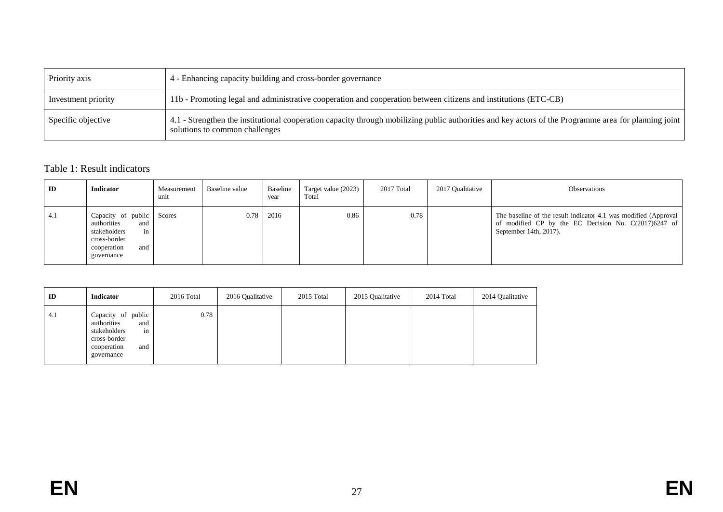| Priority axis       | 4 - Enhancing capacity building and cross-border governance                                                                                                                             |
|---------------------|-----------------------------------------------------------------------------------------------------------------------------------------------------------------------------------------|
| Investment priority | 11b - Promoting legal and administrative cooperation and cooperation between citizens and institutions (ETC-CB)                                                                         |
| Specific objective  | 4.1 - Strengthen the institutional cooperation capacity through mobilizing public authorities and key actors of the Programme area for planning joint<br>solutions to common challenges |

## Table 1: Result indicators

| ID  | <b>Indicator</b>                                                                                                          | Measurement<br>unit | Baseline value | Baseline<br>year | Target value (2023)<br>Total | 2017 Total | 2017 Qualitative | Observations                                                                                                                                       |
|-----|---------------------------------------------------------------------------------------------------------------------------|---------------------|----------------|------------------|------------------------------|------------|------------------|----------------------------------------------------------------------------------------------------------------------------------------------------|
| 4.1 | Capacity of public Scores<br>authorities<br>and<br>stakeholders<br>in<br>cross-border<br>cooperation<br>and<br>governance |                     |                | 0.78 2016        | 0.86                         | 0.78       |                  | The baseline of the result indicator 4.1 was modified (Approval)<br>of modified CP by the EC Decision No. C(2017)6247 of<br>September 14th, 2017). |

| ID  | <b>Indicator</b>                                                                                                   | 2016 Total | 2016 Qualitative | 2015 Total | 2015 Qualitative | 2014 Total | 2014 Qualitative |
|-----|--------------------------------------------------------------------------------------------------------------------|------------|------------------|------------|------------------|------------|------------------|
| 4.1 | Capacity of public<br>authorities<br>and<br>stakeholders<br>in<br>cross-border<br>cooperation<br>and<br>governance | 0.78       |                  |            |                  |            |                  |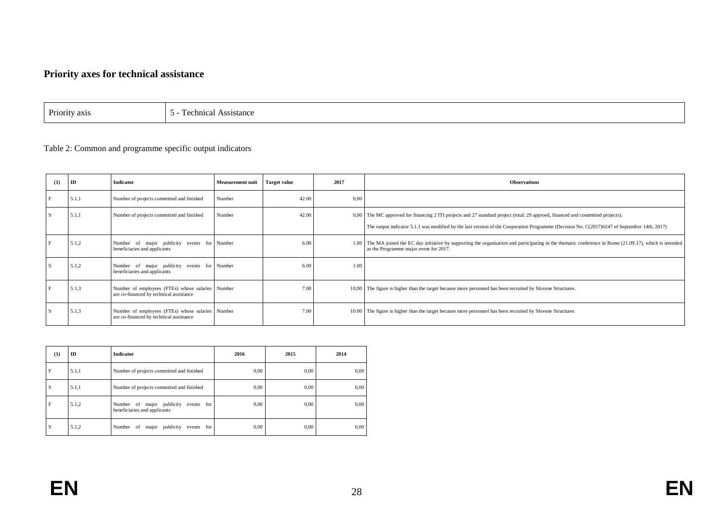# **Priority axes for technical assistance**

Priority axis  $\Big| 5$  - Technical Assistance

## Table 2: Common and programme specific output indicators

| (1) | ID    | <b>Indicator</b>                                                                            | <b>Measurement unit</b> | <b>Target value</b> | 2017 | <b>Observations</b>                                                                                                                                                                                                                                                            |
|-----|-------|---------------------------------------------------------------------------------------------|-------------------------|---------------------|------|--------------------------------------------------------------------------------------------------------------------------------------------------------------------------------------------------------------------------------------------------------------------------------|
|     | 5.1,1 | Number of projects committed and finished                                                   | Number                  | 42.00               | 0.00 |                                                                                                                                                                                                                                                                                |
|     | 5.1,1 | Number of projects committed and finished                                                   | Number                  | 42.00               |      | 0,00 The MC approved for financing 2 ITI projects and 27 standard project (total: 29 approed, financed and committed projects).<br>The output indicator 5.1.1 was modified by the last version of the Cooperation Programme (Decision No. C(2017)6247 of September 14th, 2017) |
|     | 5.1,2 | Number of major publicity events for Number<br>beneficiaries and applicants                 |                         | 6.00                |      | 1.00 The MA joined the EC day initiative by supporting the organisation and participating in the thematic conference in Rome (21.09.17), which is intended<br>as the Programme major event for 2017.                                                                           |
|     | 5.1,2 | Number of major publicity events for Number<br>beneficiaries and applicants                 |                         | 6.00                | 1.00 |                                                                                                                                                                                                                                                                                |
|     | 5.1,3 | Number of employees (FTEs) whose salaries Number<br>are co-financed by technical assistance |                         | 7.00                |      | 10,00 The figure is higher than the target because more personnel has been recruited by Slovene Structures.                                                                                                                                                                    |
|     | 5.1,3 | Number of employees (FTEs) whose salaries Number<br>are co-financed by technical assistance |                         | 7.00                |      | 10.00 The figure is higher than the target because more personnel has been recruited by Slovene Structures                                                                                                                                                                     |

| (1) | ID    | Indicator                                                               | 2016 | 2015 | 2014 |
|-----|-------|-------------------------------------------------------------------------|------|------|------|
| F   | 5.1,1 | Number of projects committed and finished                               | 0,00 | 0,00 | 0,00 |
| l S | 5.1,1 | Number of projects committed and finished                               | 0,00 | 0,00 | 0,00 |
| F   | 5.1,2 | Number of major publicity<br>events for<br>beneficiaries and applicants | 0,00 | 0,00 | 0,00 |
| l S | 5.1,2 | major publicity events for<br>Number<br>of                              | 0,00 | 0,00 | 0,00 |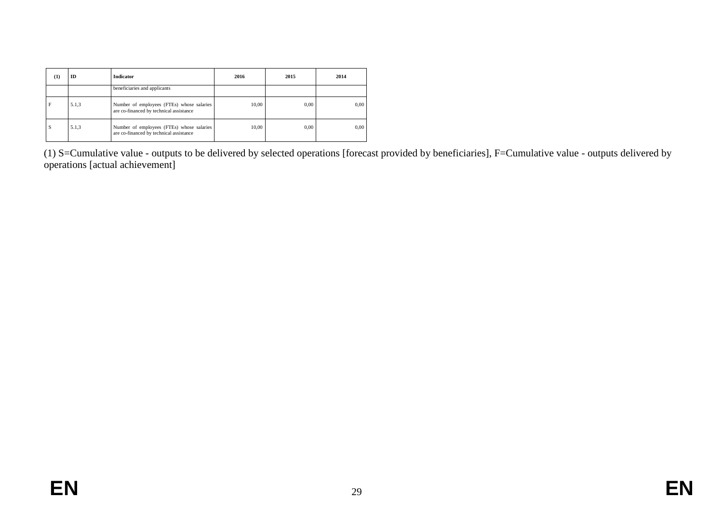| (1) | ID    | <b>Indicator</b>                                                                     | 2016  | 2015 | 2014 |
|-----|-------|--------------------------------------------------------------------------------------|-------|------|------|
|     |       | beneficiaries and applicants                                                         |       |      |      |
|     | 5.1,3 | Number of employees (FTEs) whose salaries<br>are co-financed by technical assistance | 10,00 | 0.00 | 0.00 |
| S   | 5.1,3 | Number of employees (FTEs) whose salaries<br>are co-financed by technical assistance | 10.00 | 0.00 | 0.00 |

(1) S=Cumulative value - outputs to be delivered by selected operations [forecast provided by beneficiaries], F=Cumulative value - outputs delivered by operations [actual achievement]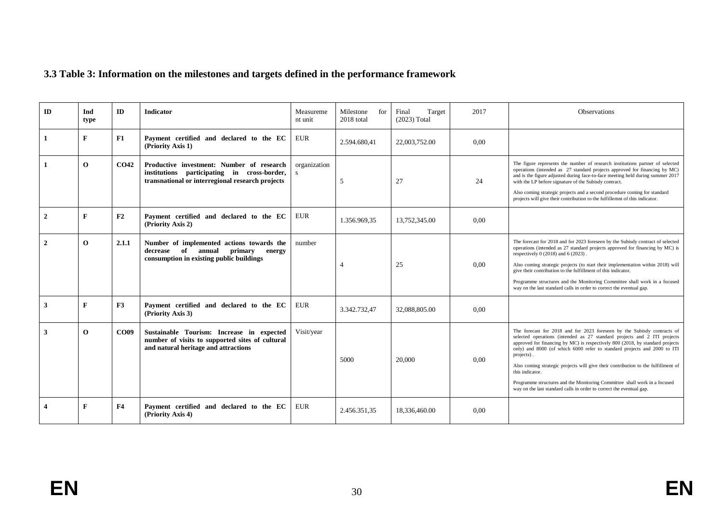# **3.3 Table 3: Information on the milestones and targets defined in the performance framework**

| ID           | Ind<br>type  | ID               | <b>Indicator</b>                                                                                                                             | Measureme<br>nt unit         | Milestone<br>for<br>2018 total | Final<br>Target<br>$(2023)$ Total | 2017 | <b>Observations</b>                                                                                                                                                                                                                                                                                                                                                                                                                                                                                                                                                                         |
|--------------|--------------|------------------|----------------------------------------------------------------------------------------------------------------------------------------------|------------------------------|--------------------------------|-----------------------------------|------|---------------------------------------------------------------------------------------------------------------------------------------------------------------------------------------------------------------------------------------------------------------------------------------------------------------------------------------------------------------------------------------------------------------------------------------------------------------------------------------------------------------------------------------------------------------------------------------------|
|              | F            | F1               | Payment certified and declared to the EC<br>(Priority Axis 1)                                                                                | <b>EUR</b>                   | 2.594.680.41                   | 22,003,752.00                     | 0.00 |                                                                                                                                                                                                                                                                                                                                                                                                                                                                                                                                                                                             |
|              | $\Omega$     | CO <sub>42</sub> | Productive investment: Number of research<br>institutions participating in cross-border,<br>transnational or interregional research projects | organization<br>$\mathbf{s}$ | 5                              | 27                                | 24   | The figure represents the number of research institutions partner of selected<br>operations (intended as 27 standard projects approved for financing by MC)<br>and is the figure adjusted during face-to-face meeting held during summer 2017<br>with the LP before signature of the Subisdy contract.<br>Also coming strategic projects and a second procedure coming for standard<br>projects will give their contribution to the fulfillemnt of this indicator.                                                                                                                          |
| $\mathbf{2}$ | F            | F2               | Payment certified and declared to the EC<br>(Priority Axis 2)                                                                                | <b>EUR</b>                   | 1.356.969.35                   | 13,752,345.00                     | 0.00 |                                                                                                                                                                                                                                                                                                                                                                                                                                                                                                                                                                                             |
| $\mathbf{2}$ | $\mathbf{o}$ | 2.1.1            | Number of implemented actions towards the<br>decrease of<br>annual primary<br>energy<br>consumption in existing public buildings             | number                       | $\overline{4}$                 | 25                                | 0.00 | The forecast for 2018 and for 2023 foreseen by the Subisdy contract of selected<br>operations (intended as 27 standard projects approved for financing by MC) is<br>respectively $0(2018)$ and $6(2023)$ .<br>Also coming strategic projects (to start their implementation within 2018) will<br>give their contribution to the fulfillment of this indicator.<br>Programme structures and the Monitoring Committee shall work in a focused<br>way on the last standard calls in order to correct the eventual gap.                                                                         |
| 3            | F            | F3               | Payment certified and declared to the EC<br>(Priority Axis 3)                                                                                | <b>EUR</b>                   | 3.342.732,47                   | 32,088,805.00                     | 0.00 |                                                                                                                                                                                                                                                                                                                                                                                                                                                                                                                                                                                             |
| 3            | $\mathbf{o}$ | <b>CO09</b>      | Sustainable Tourism: Increase in expected<br>number of visits to supported sites of cultural<br>and natural heritage and attractions         | Visit/year                   | 5000                           | 20,000                            | 0.00 | The forecast for 2018 and for 2023 foreseen by the Subisdy contracts of<br>selected operations (intended as 27 standard projects and 2 ITI projects<br>approved for financing by MC) is respectively 800 (2018, by standard projects<br>only) and 8000 (of which 6000 refer to standard projects and 2000 to ITI<br>projects).<br>Also coming strategic projects will give their contribution to the fulfillment of<br>this indicator.<br>Programme structures and the Monitoring Committee shall work in a focused<br>way on the last standard calls in order to correct the eventual gap. |
| 4            | F            | F4               | Payment certified and declared to the EC<br>(Priority Axis 4)                                                                                | <b>EUR</b>                   | 2.456.351.35                   | 18,336,460.00                     | 0.00 |                                                                                                                                                                                                                                                                                                                                                                                                                                                                                                                                                                                             |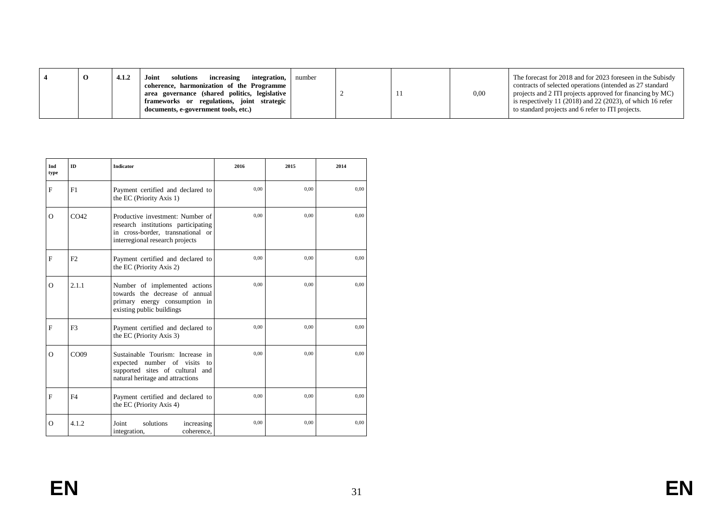| Ind<br>type | ID               | <b>Indicator</b>                                                                                                                                | 2016 | 2015 | 2014 |
|-------------|------------------|-------------------------------------------------------------------------------------------------------------------------------------------------|------|------|------|
| $\mathbf F$ | F1               | Payment certified and declared to<br>the EC (Priority Axis 1)                                                                                   | 0.00 | 0.00 | 0,00 |
| $\Omega$    | CO <sub>42</sub> | Productive investment: Number of<br>research institutions participating<br>in cross-border, transnational or<br>interregional research projects | 0,00 | 0.00 | 0,00 |
| F           | F2               | Payment certified and declared to<br>the EC (Priority Axis 2)                                                                                   | 0,00 | 0,00 | 0,00 |
| $\Omega$    | 2.1.1            | Number of implemented actions<br>towards the decrease of annual<br>primary energy consumption in<br>existing public buildings                   | 0.00 | 0.00 | 0.00 |
| F           | F <sub>3</sub>   | Payment certified and declared to<br>the EC (Priority Axis 3)                                                                                   | 0.00 | 0.00 | 0.00 |
| $\Omega$    | CO <sub>09</sub> | Sustainable Tourism: Increase in<br>expected number of visits to<br>supported sites of cultural and<br>natural heritage and attractions         | 0.00 | 0.00 | 0.00 |
| F           | F <sub>4</sub>   | Payment certified and declared to<br>the EC (Priority Axis 4)                                                                                   | 0.00 | 0.00 | 0,00 |
| $\Omega$    | 4.1.2            | Joint<br>solutions<br>increasing<br>coherence.<br>integration,                                                                                  | 0.00 | 0.00 | 0,00 |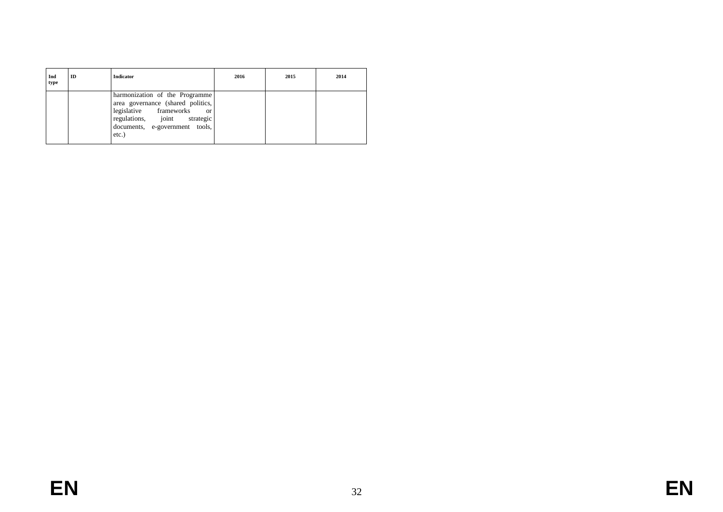| Ind<br>type | ID | <b>Indicator</b>                                                                                                                                                                             | 2016 | 2015 | 2014 |
|-------------|----|----------------------------------------------------------------------------------------------------------------------------------------------------------------------------------------------|------|------|------|
|             |    | harmonization of the Programme<br>area governance (shared politics,<br>legislative frameworks<br><sub>or</sub><br>regulations, joint strategic<br>documents, e-government tools,<br>$etc.$ ) |      |      |      |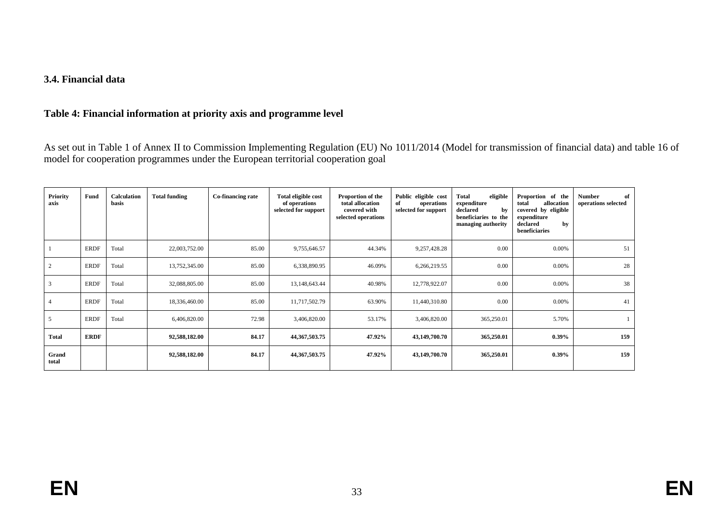# **3.4. Financial data**

#### **Table 4: Financial information at priority axis and programme level**

As set out in Table 1 of Annex II to Commission Implementing Regulation (EU) No 1011/2014 (Model for transmission of financial data) and table 16 of model for cooperation programmes under the European territorial cooperation goal

| <b>Priority</b><br>axis | Fund        | <b>Calculation</b><br>basis | <b>Total funding</b> | Co-financing rate | Total eligible cost<br>of operations<br>selected for support | Proportion of the<br>total allocation<br>covered with<br>selected operations | Public eligible cost<br>operations<br>of<br>selected for support | eligible<br>Total<br>expenditure<br>declared<br>by<br>beneficiaries to the<br>managing authority | Proportion of the<br>allocation<br>total<br>covered by eligible<br>expenditure<br>declared<br>by<br>beneficiaries | <b>Number</b><br>of<br>operations selected |
|-------------------------|-------------|-----------------------------|----------------------|-------------------|--------------------------------------------------------------|------------------------------------------------------------------------------|------------------------------------------------------------------|--------------------------------------------------------------------------------------------------|-------------------------------------------------------------------------------------------------------------------|--------------------------------------------|
|                         | <b>ERDF</b> | Total                       | 22,003,752.00        | 85.00             | 9,755,646.57                                                 | 44.34%                                                                       | 9,257,428.28                                                     | 0.00                                                                                             | $0.00\%$                                                                                                          | 51                                         |
| $\overline{2}$          | <b>ERDF</b> | Total                       | 13,752,345.00        | 85.00             | 6,338,890.95                                                 | 46.09%                                                                       | 6,266,219.55                                                     | 0.00                                                                                             | $0.00\%$                                                                                                          | 28                                         |
| 3                       | <b>ERDF</b> | Total                       | 32,088,805.00        | 85.00             | 13,148,643.44                                                | 40.98%                                                                       | 12,778,922.07                                                    | 0.00                                                                                             | $0.00\%$                                                                                                          | 38                                         |
|                         | <b>ERDF</b> | Total                       | 18,336,460.00        | 85.00             | 11,717,502.79                                                | 63.90%                                                                       | 11,440,310.80                                                    | 0.00                                                                                             | $0.00\%$                                                                                                          | 41                                         |
| 5                       | <b>ERDF</b> | Total                       | 6,406,820.00         | 72.98             | 3,406,820.00                                                 | 53.17%                                                                       | 3,406,820.00                                                     | 365,250.01                                                                                       | 5.70%                                                                                                             |                                            |
| <b>Total</b>            | <b>ERDF</b> |                             | 92,588,182.00        | 84.17             | 44, 367, 503. 75                                             | 47.92%                                                                       | 43,149,700.70                                                    | 365,250.01                                                                                       | $0.39\%$                                                                                                          | 159                                        |
| Grand<br>total          |             |                             | 92,588,182.00        | 84.17             | 44, 367, 503. 75                                             | 47.92%                                                                       | 43,149,700.70                                                    | 365,250.01                                                                                       | $0.39\%$                                                                                                          | 159                                        |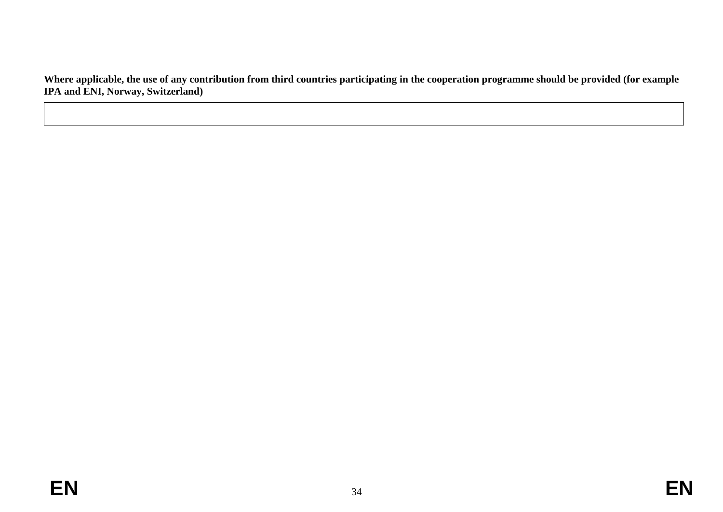**Where applicable, the use of any contribution from third countries participating in the cooperation programme should be provided (for example IPA and ENI, Norway, Switzerland)**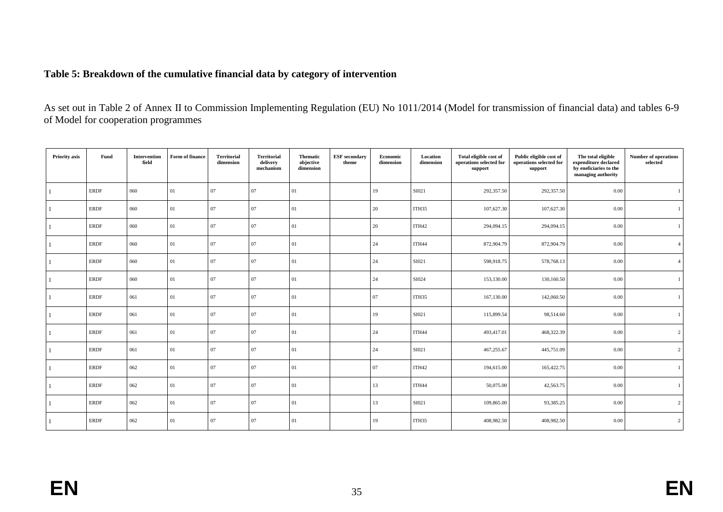# **Table 5: Breakdown of the cumulative financial data by category of intervention**

As set out in Table 2 of Annex II to Commission Implementing Regulation (EU) No 1011/2014 (Model for transmission of financial data) and tables 6-9 of Model for cooperation programmes

| Priority axis | Fund        | Intervention<br>field | Form of finance | <b>Territorial</b><br>dimension | <b>Territorial</b><br>delivery<br>mechanism | <b>Thematic</b><br>objective<br>dimension | <b>ESF</b> secondary<br>theme | Economic<br>dimension | Location<br>dimension | Total eligible cost of<br>operations selected for<br>support | Public eligible cost of<br>operations selected for<br>support | The total eligible<br>expenditure declared<br>by eneficiaries to the<br>managing authority | <b>Number of operations</b><br>selected |
|---------------|-------------|-----------------------|-----------------|---------------------------------|---------------------------------------------|-------------------------------------------|-------------------------------|-----------------------|-----------------------|--------------------------------------------------------------|---------------------------------------------------------------|--------------------------------------------------------------------------------------------|-----------------------------------------|
|               | <b>ERDF</b> | 060                   | 01              | 07                              | 07                                          | 01                                        |                               | 19                    | SI021                 | 292,357.50                                                   | 292,357.50                                                    | 0.00                                                                                       |                                         |
|               | <b>ERDF</b> | 060                   | 01              | 07                              | 07                                          | 01                                        |                               | 20                    | ITH35                 | 107,627.30                                                   | 107,627.30                                                    | 0.00                                                                                       |                                         |
|               | <b>ERDF</b> | 060                   | 01              | 07                              | 07                                          | 01                                        |                               | 20                    | ITH42                 | 294,094.15                                                   | 294,094.15                                                    | 0.00                                                                                       |                                         |
|               | <b>ERDF</b> | 060                   | 01              | 07                              | 07                                          | 01                                        |                               | 24                    | ITH44                 | 872,904.79                                                   | 872,904.79                                                    | 0.00                                                                                       |                                         |
|               | ERDF        | 060                   | 01              | 07                              | 07                                          | 01                                        |                               | 24                    | SI021                 | 598,918.75                                                   | 578,768.13                                                    | 0.00                                                                                       |                                         |
|               | <b>ERDF</b> | 060                   | 01              | 07                              | 07                                          | 01                                        |                               | 24                    | SI024                 | 153,130.00                                                   | 130,160.50                                                    | 0.00                                                                                       |                                         |
|               | ERDF        | 061                   | 01              | 07                              | 07                                          | 01                                        |                               | 07                    | ITH35                 | 167,130.00                                                   | 142,060.50                                                    | 0.00                                                                                       |                                         |
|               | <b>ERDF</b> | 061                   | 01              | 07                              | 07                                          | 01                                        |                               | 19                    | SI021                 | 115,899.54                                                   | 98,514.60                                                     | 0.00                                                                                       |                                         |
|               | ERDF        | 061                   | 01              | 07                              | 07                                          | 01                                        |                               | 24                    | ITH44                 | 493,417.01                                                   | 468,322.39                                                    | 0.00                                                                                       | $\overline{2}$                          |
|               | <b>ERDF</b> | 061                   | 01              | 07                              | 07                                          | 01                                        |                               | 24                    | SI021                 | 467,255.67                                                   | 445,751.09                                                    | 0.00                                                                                       | 2                                       |
|               | <b>ERDF</b> | 062                   | 01              | 07                              | 07                                          | 01                                        |                               | 07                    | ITH42                 | 194,615.00                                                   | 165,422.75                                                    | 0.00                                                                                       |                                         |
|               | <b>ERDF</b> | 062                   | 01              | 07                              | 07                                          | 01                                        |                               | 13                    | ITH44                 | 50,075.00                                                    | 42,563.75                                                     | 0.00                                                                                       |                                         |
|               | <b>ERDF</b> | 062                   | 01              | 07                              | 07                                          | 01                                        |                               | 13                    | SI021                 | 109,865.00                                                   | 93,385.25                                                     | 0.00                                                                                       | 2                                       |
|               | <b>ERDF</b> | 062                   | 01              | 07                              | 07                                          | 01                                        |                               | 19                    | ITH35                 | 408,982.50                                                   | 408,982.50                                                    | 0.00                                                                                       | $\overline{c}$                          |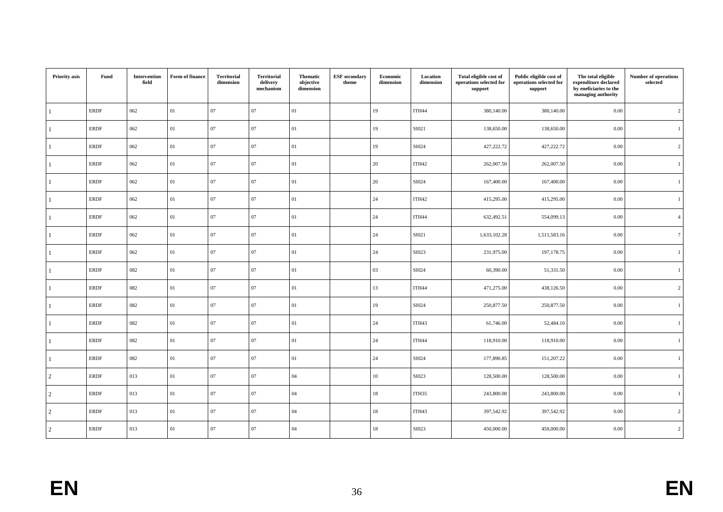| Priority axis  | Fund        | Intervention<br>field | Form of finance | <b>Territorial</b><br>dimension | <b>Territorial</b><br>delivery<br>mechanism | <b>Thematic</b><br>objective<br>dimension | <b>ESF</b> secondary<br>theme | Economic<br>dimension | Location<br>dimension | Total eligible cost of<br>operations selected for<br>support | Public eligible cost of<br>operations selected for<br>support | The total eligible<br>expenditure declared<br>by eneficiaries to the<br>managing authority | <b>Number of operations</b><br>selected |
|----------------|-------------|-----------------------|-----------------|---------------------------------|---------------------------------------------|-------------------------------------------|-------------------------------|-----------------------|-----------------------|--------------------------------------------------------------|---------------------------------------------------------------|--------------------------------------------------------------------------------------------|-----------------------------------------|
| 1              | <b>ERDF</b> | 062                   | 01              | 07                              | 07                                          | 01                                        |                               | 19                    | ITH44                 | 380,140.00                                                   | 380,140.00                                                    | 0.00                                                                                       | $\overline{c}$                          |
|                | <b>ERDF</b> | 062                   | 01              | 07                              | 07                                          | 01                                        |                               | 19                    | SI021                 | 138,650.00                                                   | 138,650.00                                                    | 0.00                                                                                       | $\overline{1}$                          |
|                | <b>ERDF</b> | 062                   | 01              | 07                              | 07                                          | 01                                        |                               | 19                    | SI024                 | 427,222.72                                                   | 427,222.72                                                    | 0.00                                                                                       | $\overline{2}$                          |
| $\mathbf{1}$   | <b>ERDF</b> | 062                   | 01              | $07\,$                          | 07                                          | $01\,$                                    |                               | 20                    | ITH42                 | 262,007.50                                                   | 262,007.50                                                    | 0.00                                                                                       | $\mathbf{1}$                            |
| 1              | <b>ERDF</b> | 062                   | 01              | 07                              | 07                                          | 01                                        |                               | 20                    | SI024                 | 167,400.00                                                   | 167,400.00                                                    | 0.00                                                                                       | $\overline{1}$                          |
| 1              | <b>ERDF</b> | 062                   | 01              | 07                              | 07                                          | 01                                        |                               | 24                    | ITH42                 | 415,295.00                                                   | 415,295.00                                                    | 0.00                                                                                       | 1                                       |
|                | <b>ERDF</b> | 062                   | 01              | $07\,$                          | 07                                          | 01                                        |                               | 24                    | ITH44                 | 632,492.51                                                   | 554,099.13                                                    | 0.00                                                                                       | $\overline{4}$                          |
|                | <b>ERDF</b> | 062                   | 01              | 07                              | 07                                          | 01                                        |                               | 24                    | SI021                 | 1,633,102.28                                                 | 1,511,583.16                                                  | 0.00                                                                                       | $7\phantom{.0}$                         |
|                | <b>ERDF</b> | 062                   | 01              | 07                              | 07                                          | 01                                        |                               | 24                    | SI023                 | 231,975.00                                                   | 197, 178.75                                                   | 0.00                                                                                       | 1                                       |
|                | <b>ERDF</b> | 082                   | 01              | 07                              | 07                                          | 01                                        |                               | 03                    | SI024                 | 60,390.00                                                    | 51,331.50                                                     | 0.00                                                                                       | $\mathbf{1}$                            |
| 1              | <b>ERDF</b> | 082                   | 01              | $07\,$                          | 07                                          | 01                                        |                               | 13                    | ITH44                 | 471,275.00                                                   | 438,126.50                                                    | 0.00                                                                                       | $\overline{c}$                          |
|                | <b>ERDF</b> | 082                   | 01              | 07                              | 07                                          | 01                                        |                               | 19                    | SI024                 | 250,877.50                                                   | 250,877.50                                                    | 0.00                                                                                       | 1                                       |
|                | <b>ERDF</b> | 082                   | 01              | 07                              | 07                                          | 01                                        |                               | 24                    | ITH43                 | 61,746.00                                                    | 52,484.10                                                     | 0.00                                                                                       | $\mathbf{1}$                            |
|                | <b>ERDF</b> | 082                   | 01              | $07\,$                          | 07                                          | 01                                        |                               | 24                    | ITH44                 | 118,910.00                                                   | 118,910.00                                                    | 0.00                                                                                       | $\overline{1}$                          |
|                | <b>ERDF</b> | 082                   | 01              | 07                              | 07                                          | 01                                        |                               | 24                    | SI024                 | 177,890.85                                                   | 151,207.22                                                    | 0.00                                                                                       | $\overline{1}$                          |
| $\overline{2}$ | <b>ERDF</b> | 013                   | 01              | 07                              | 07                                          | 04                                        |                               | 10                    | SI023                 | 128,500.00                                                   | 128,500.00                                                    | 0.00                                                                                       | $\mathbf{1}$                            |
| $\overline{c}$ | <b>ERDF</b> | 013                   | 01              | 07                              | 07                                          | 04                                        |                               | 18                    | ITH35                 | 243,800.00                                                   | 243,800.00                                                    | 0.00                                                                                       | $\mathbf{1}$                            |
| $\overline{2}$ | <b>ERDF</b> | 013                   | 01              | $07\,$                          | 07                                          | 04                                        |                               | 18                    | ITH43                 | 397,542.92                                                   | 397,542.92                                                    | 0.00                                                                                       | $\overline{2}$                          |
| $\overline{2}$ | <b>ERDF</b> | 013                   | 01              | 07                              | 07                                          | 04                                        |                               | 18                    | SI023                 | 450,000.00                                                   | 450,000.00                                                    | 0.00                                                                                       | $\overline{c}$                          |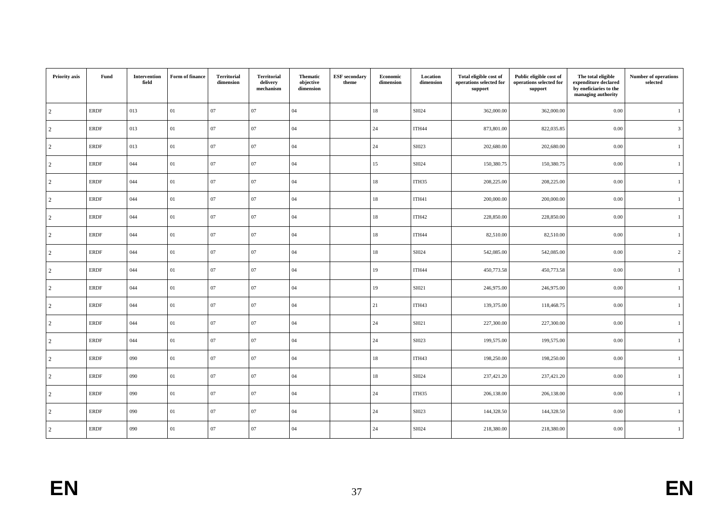| Priority axis  | Fund        | Intervention<br>field | Form of finance | <b>Territorial</b><br>dimension | <b>Territorial</b><br>delivery<br>mechanism | <b>Thematic</b><br>objective<br>dimension | <b>ESF</b> secondary<br>theme | Economic<br>dimension | Location<br>dimension | Total eligible cost of<br>operations selected for<br>support | Public eligible cost of<br>operations selected for<br>support | The total eligible<br>expenditure declared<br>by eneficiaries to the<br>managing authority | <b>Number of operations</b><br>selected |
|----------------|-------------|-----------------------|-----------------|---------------------------------|---------------------------------------------|-------------------------------------------|-------------------------------|-----------------------|-----------------------|--------------------------------------------------------------|---------------------------------------------------------------|--------------------------------------------------------------------------------------------|-----------------------------------------|
| $\overline{2}$ | <b>ERDF</b> | 013                   | 01              | 07                              | 07                                          | 04                                        |                               | 18                    | SI024                 | 362,000.00                                                   | 362,000.00                                                    | 0.00                                                                                       | $\overline{1}$                          |
| $\overline{2}$ | <b>ERDF</b> | 013                   | 01              | 07                              | 07                                          | 04                                        |                               | 24                    | ITH44                 | 873,801.00                                                   | 822,035.85                                                    | 0.00                                                                                       | $\overline{3}$                          |
| $\overline{2}$ | <b>ERDF</b> | 013                   | 01              | 07                              | 07                                          | 04                                        |                               | 24                    | SI023                 | 202,680.00                                                   | 202,680.00                                                    | 0.00                                                                                       | $\mathbf{1}$                            |
| $\overline{2}$ | <b>ERDF</b> | 044                   | 01              | $07\,$                          | 07                                          | 04                                        |                               | 15                    | SI024                 | 150,380.75                                                   | 150,380.75                                                    | 0.00                                                                                       | $\mathbf{1}$                            |
| $\overline{2}$ | <b>ERDF</b> | 044                   | 01              | 07                              | 07                                          | 04                                        |                               | 18                    | ITH35                 | 208,225.00                                                   | 208,225.00                                                    | 0.00                                                                                       | $\overline{1}$                          |
| $\overline{2}$ | <b>ERDF</b> | 044                   | 01              | $07\,$                          | 07                                          | 04                                        |                               | 18                    | ITH41                 | 200,000.00                                                   | 200,000.00                                                    | 0.00                                                                                       | 1                                       |
| $\overline{c}$ | <b>ERDF</b> | 044                   | 01              | $07\,$                          | 07                                          | 04                                        |                               | 18                    | ITH42                 | 228,850.00                                                   | 228,850.00                                                    | 0.00                                                                                       | $\mathbf{1}$                            |
| $\overline{2}$ | <b>ERDF</b> | 044                   | 01              | 07                              | 07                                          | 04                                        |                               | 18                    | ITH44                 | 82,510.00                                                    | 82,510.00                                                     | 0.00                                                                                       | <sup>1</sup>                            |
| $\overline{2}$ | <b>ERDF</b> | 044                   | 01              | 07                              | 07                                          | 04                                        |                               | 18                    | SI024                 | 542,085.00                                                   | 542,085.00                                                    | 0.00                                                                                       | $\overline{c}$                          |
| $\overline{2}$ | <b>ERDF</b> | 044                   | 01              | 07                              | 07                                          | 04                                        |                               | 19                    | ITH44                 | 450,773.58                                                   | 450,773.58                                                    | 0.00                                                                                       | $\mathbf{1}$                            |
| $\overline{2}$ | <b>ERDF</b> | 044                   | 01              | $07\,$                          | 07                                          | 04                                        |                               | 19                    | SI021                 | 246,975.00                                                   | 246,975.00                                                    | 0.00                                                                                       | $\mathbf{1}$                            |
| $\overline{c}$ | <b>ERDF</b> | 044                   | 01              | 07                              | 07                                          | 04                                        |                               | 21                    | ITH43                 | 139,375.00                                                   | 118,468.75                                                    | 0.00                                                                                       | $\overline{1}$                          |
| $\overline{2}$ | <b>ERDF</b> | 044                   | 01              | 07                              | 07                                          | 04                                        |                               | 24                    | SI021                 | 227,300.00                                                   | 227,300.00                                                    | 0.00                                                                                       | 1                                       |
| $\overline{2}$ | <b>ERDF</b> | 044                   | 01              | $07\,$                          | 07                                          | 04                                        |                               | 24                    | SI023                 | 199,575.00                                                   | 199,575.00                                                    | 0.00                                                                                       | $\overline{1}$                          |
| $\overline{2}$ | <b>ERDF</b> | 090                   | 01              | 07                              | 07                                          | 04                                        |                               | 18                    | ITH43                 | 198,250.00                                                   | 198,250.00                                                    | 0.00                                                                                       | $\overline{1}$                          |
| $\overline{2}$ | <b>ERDF</b> | 090                   | 01              | 07                              | 07                                          | 04                                        |                               | 18                    | SI024                 | 237,421.20                                                   | 237,421.20                                                    | 0.00                                                                                       | $\mathbf{1}$                            |
| $\overline{c}$ | <b>ERDF</b> | 090                   | 01              | 07                              | 07                                          | 04                                        |                               | 24                    | ITH35                 | 206,138.00                                                   | 206,138.00                                                    | 0.00                                                                                       | $\mathbf{1}$                            |
| $\overline{2}$ | <b>ERDF</b> | 090                   | 01              | $07\,$                          | 07                                          | 04                                        |                               | 24                    | SI023                 | 144,328.50                                                   | 144,328.50                                                    | 0.00                                                                                       | $\overline{1}$                          |
| $\overline{2}$ | <b>ERDF</b> | 090                   | 01              | 07                              | 07                                          | 04                                        |                               | 24                    | SI024                 | 218,380.00                                                   | 218,380.00                                                    | 0.00                                                                                       | $\overline{1}$                          |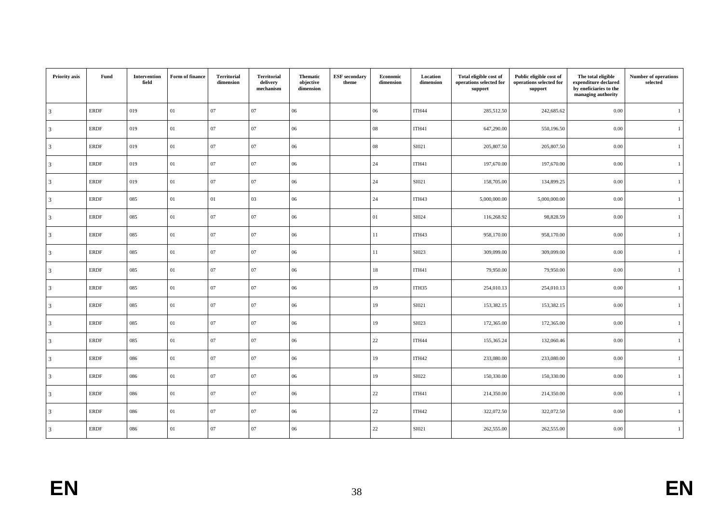| Priority axis  | Fund        | Intervention<br>field | Form of finance | <b>Territorial</b><br>dimension | <b>Territorial</b><br>delivery<br>mechanism | <b>Thematic</b><br>objective<br>dimension | <b>ESF</b> secondary<br>theme | Economic<br>dimension | Location<br>dimension | Total eligible cost of<br>operations selected for<br>support | Public eligible cost of<br>operations selected for<br>support | The total eligible<br>expenditure declared<br>by eneficiaries to the<br>managing authority | <b>Number of operations</b><br>selected |
|----------------|-------------|-----------------------|-----------------|---------------------------------|---------------------------------------------|-------------------------------------------|-------------------------------|-----------------------|-----------------------|--------------------------------------------------------------|---------------------------------------------------------------|--------------------------------------------------------------------------------------------|-----------------------------------------|
| 3              | <b>ERDF</b> | 019                   | 01              | 07                              | 07                                          | 06                                        |                               | 06                    | ITH44                 | 285,512.50                                                   | 242,685.62                                                    | 0.00                                                                                       | $\overline{1}$                          |
| 3              | <b>ERDF</b> | 019                   | 01              | 07                              | 07                                          | 06                                        |                               | ${\bf 08}$            | ITH41                 | 647,290.00                                                   | 550,196.50                                                    | 0.00                                                                                       | $\overline{1}$                          |
| 3              | <b>ERDF</b> | 019                   | 01              | 07                              | 07                                          | 06                                        |                               | 08                    | SI021                 | 205,807.50                                                   | 205,807.50                                                    | 0.00                                                                                       | $\mathbf{1}$                            |
| 3              | <b>ERDF</b> | 019                   | 01              | $07\,$                          | 07                                          | $06\,$                                    |                               | 24                    | ITH41                 | 197,670.00                                                   | 197,670.00                                                    | 0.00                                                                                       | $\mathbf{1}$                            |
| 3              | <b>ERDF</b> | 019                   | 01              | 07                              | 07                                          | 06                                        |                               | 24                    | SI021                 | 158,705.00                                                   | 134,899.25                                                    | 0.00                                                                                       | $\overline{1}$                          |
| $\mathfrak{Z}$ | <b>ERDF</b> | 085                   | 01              | 01                              | 03                                          | 06                                        |                               | 24                    | ITH43                 | 5,000,000.00                                                 | 5,000,000.00                                                  | 0.00                                                                                       | 1                                       |
| 3              | <b>ERDF</b> | 085                   | 01              | $07\,$                          | 07                                          | $06\,$                                    |                               | 01                    | SI024                 | 116,268.92                                                   | 98,828.59                                                     | 0.00                                                                                       | $\mathbf{1}$                            |
| 3              | <b>ERDF</b> | 085                   | 01              | 07                              | 07                                          | 06                                        |                               | 11                    | ITH43                 | 958,170.00                                                   | 958,170.00                                                    | 0.00                                                                                       | <sup>1</sup>                            |
| 3              | <b>ERDF</b> | 085                   | 01              | 07                              | 07                                          | 06                                        |                               | 11                    | SI023                 | 309,099.00                                                   | 309,099.00                                                    | 0.00                                                                                       | 1                                       |
| 3              | <b>ERDF</b> | 085                   | 01              | 07                              | 07                                          | 06                                        |                               | 18                    | ITH41                 | 79,950.00                                                    | 79,950.00                                                     | 0.00                                                                                       | 1                                       |
| $\mathfrak{Z}$ | <b>ERDF</b> | 085                   | 01              | $07\,$                          | 07                                          | $06\,$                                    |                               | 19                    | ITH35                 | 254,010.13                                                   | 254,010.13                                                    | 0.00                                                                                       | $\mathbf{1}$                            |
| 3              | <b>ERDF</b> | 085                   | 01              | 07                              | 07                                          | 06                                        |                               | 19                    | SI021                 | 153,382.15                                                   | 153,382.15                                                    | 0.00                                                                                       | $\overline{1}$                          |
| 3              | <b>ERDF</b> | 085                   | 01              | 07                              | 07                                          | 06                                        |                               | 19                    | SI023                 | 172,365.00                                                   | 172,365.00                                                    | 0.00                                                                                       | 1                                       |
| $\mathfrak{Z}$ | <b>ERDF</b> | 085                   | 01              | $07\,$                          | 07                                          | $06\,$                                    |                               | $22\,$                | ITH44                 | 155,365.24                                                   | 132,060.46                                                    | 0.00                                                                                       | $\overline{1}$                          |
| 3              | <b>ERDF</b> | 086                   | 01              | 07                              | 07                                          | 06                                        |                               | 19                    | ITH42                 | 233,080.00                                                   | 233,080.00                                                    | 0.00                                                                                       | $\overline{1}$                          |
| 3              | <b>ERDF</b> | 086                   | 01              | 07                              | 07                                          | 06                                        |                               | 19                    | SI022                 | 150,330.00                                                   | 150,330.00                                                    | 0.00                                                                                       | $\mathbf{1}$                            |
| 3              | <b>ERDF</b> | 086                   | 01              | 07                              | 07                                          | 06                                        |                               | 22                    | ITH41                 | 214,350.00                                                   | 214,350.00                                                    | 0.00                                                                                       | $\mathbf{1}$                            |
| 3              | <b>ERDF</b> | 086                   | 01              | $07\,$                          | 07                                          | $06\,$                                    |                               | 22                    | ITH42                 | 322,072.50                                                   | 322,072.50                                                    | 0.00                                                                                       | $\overline{1}$                          |
| $\overline{3}$ | <b>ERDF</b> | 086                   | 01              | 07                              | 07                                          | 06                                        |                               | 22                    | SI021                 | 262,555.00                                                   | 262,555.00                                                    | 0.00                                                                                       | $\overline{1}$                          |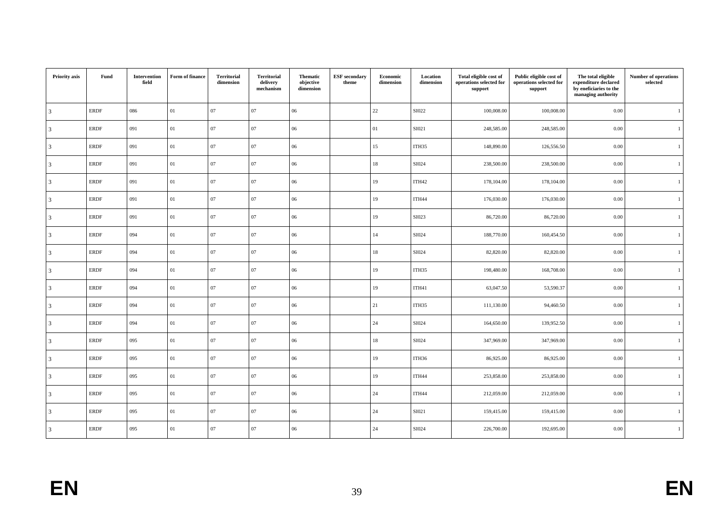| Priority axis  | Fund        | Intervention<br>field | Form of finance | <b>Territorial</b><br>dimension | <b>Territorial</b><br>delivery<br>mechanism | <b>Thematic</b><br>objective<br>dimension | <b>ESF</b> secondary<br>theme | Economic<br>dimension | Location<br>dimension | Total eligible cost of<br>operations selected for<br>support | Public eligible cost of<br>operations selected for<br>support | The total eligible<br>expenditure declared<br>by eneficiaries to the<br>managing authority | <b>Number of operations</b><br>selected |
|----------------|-------------|-----------------------|-----------------|---------------------------------|---------------------------------------------|-------------------------------------------|-------------------------------|-----------------------|-----------------------|--------------------------------------------------------------|---------------------------------------------------------------|--------------------------------------------------------------------------------------------|-----------------------------------------|
| 3              | <b>ERDF</b> | 086                   | 01              | 07                              | 07                                          | 06                                        |                               | 22                    | SI022                 | 100,008.00                                                   | 100,008.00                                                    | 0.00                                                                                       | $\overline{1}$                          |
| 3              | <b>ERDF</b> | 091                   | 01              | 07                              | 07                                          | 06                                        |                               | 01                    | SI021                 | 248,585.00                                                   | 248,585.00                                                    | 0.00                                                                                       | $\overline{1}$                          |
| 3              | <b>ERDF</b> | 091                   | 01              | 07                              | 07                                          | 06                                        |                               | 15                    | ITH35                 | 148,890.00                                                   | 126,556.50                                                    | 0.00                                                                                       | $\mathbf{1}$                            |
| 3              | <b>ERDF</b> | 091                   | 01              | $07\,$                          | 07                                          | $06\,$                                    |                               | 18                    | SI024                 | 238,500.00                                                   | 238,500.00                                                    | 0.00                                                                                       | $\mathbf{1}$                            |
| 3              | <b>ERDF</b> | 091                   | 01              | 07                              | 07                                          | 06                                        |                               | 19                    | ITH42                 | 178,104.00                                                   | 178,104.00                                                    | 0.00                                                                                       | $\overline{1}$                          |
| $\mathfrak{Z}$ | <b>ERDF</b> | 091                   | 01              | 07                              | 07                                          | 06                                        |                               | 19                    | ITH44                 | 176,030.00                                                   | 176,030.00                                                    | 0.00                                                                                       | 1                                       |
| 3              | <b>ERDF</b> | 091                   | 01              | $07\,$                          | 07                                          | $06\,$                                    |                               | 19                    | SI023                 | 86,720.00                                                    | 86,720.00                                                     | 0.00                                                                                       | $\mathbf{1}$                            |
| 3              | <b>ERDF</b> | 094                   | 01              | 07                              | 07                                          | 06                                        |                               | 14                    | SI024                 | 188,770.00                                                   | 160,454.50                                                    | 0.00                                                                                       | <sup>1</sup>                            |
| 3              | <b>ERDF</b> | 094                   | 01              | 07                              | 07                                          | 06                                        |                               | 18                    | SI024                 | 82,820.00                                                    | 82,820.00                                                     | 0.00                                                                                       | 1                                       |
| 3              | <b>ERDF</b> | 094                   | 01              | 07                              | 07                                          | 06                                        |                               | 19                    | ITH35                 | 198,480.00                                                   | 168,708.00                                                    | 0.00                                                                                       | $\mathbf{1}$                            |
| 3              | <b>ERDF</b> | 094                   | 01              | $07\,$                          | 07                                          | $06\,$                                    |                               | 19                    | ITH41                 | 63,047.50                                                    | 53,590.37                                                     | 0.00                                                                                       | $\mathbf{1}$                            |
| 3              | <b>ERDF</b> | 094                   | 01              | 07                              | 07                                          | 06                                        |                               | 21                    | ITH35                 | 111,130.00                                                   | 94,460.50                                                     | 0.00                                                                                       | $\overline{1}$                          |
| 3              | <b>ERDF</b> | 094                   | 01              | $07\,$                          | 07                                          | 06                                        |                               | 24                    | SI024                 | 164,650.00                                                   | 139,952.50                                                    | 0.00                                                                                       | 1                                       |
| 3              | <b>ERDF</b> | 095                   | 01              | $07\,$                          | 07                                          | $06\,$                                    |                               | 18                    | SI024                 | 347,969.00                                                   | 347,969.00                                                    | 0.00                                                                                       | $\overline{1}$                          |
| 3              | <b>ERDF</b> | 095                   | 01              | 07                              | 07                                          | 06                                        |                               | 19                    | ITH36                 | 86,925.00                                                    | 86,925.00                                                     | 0.00                                                                                       | $\overline{1}$                          |
| 3              | <b>ERDF</b> | 095                   | 01              | 07                              | 07                                          | 06                                        |                               | 19                    | ITH44                 | 253,858.00                                                   | 253,858.00                                                    | 0.00                                                                                       | $\mathbf{1}$                            |
| 3              | <b>ERDF</b> | 095                   | 01              | 07                              | 07                                          | 06                                        |                               | 24                    | ITH44                 | 212,059.00                                                   | 212,059.00                                                    | 0.00                                                                                       | $\mathbf{1}$                            |
| 3              | <b>ERDF</b> | 095                   | 01              | $07\,$                          | 07                                          | $06\,$                                    |                               | 24                    | SI021                 | 159,415.00                                                   | 159,415.00                                                    | 0.00                                                                                       | $\overline{1}$                          |
| $\overline{3}$ | <b>ERDF</b> | 095                   | 01              | 07                              | 07                                          | 06                                        |                               | 24                    | SI024                 | 226,700.00                                                   | 192,695.00                                                    | 0.00                                                                                       | $\overline{1}$                          |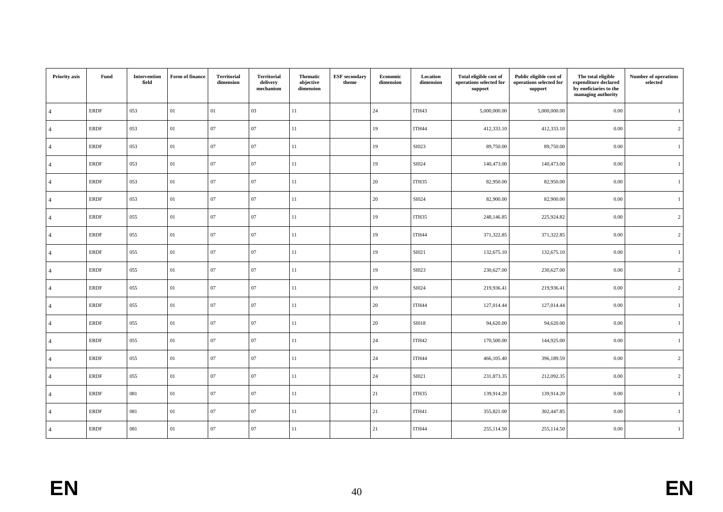| Priority axis  | Fund        | Intervention<br>field | Form of finance | <b>Territorial</b><br>dimension | <b>Territorial</b><br>delivery<br>mechanism | <b>Thematic</b><br>objective<br>dimension | <b>ESF</b> secondary<br>theme | Economic<br>dimension | Location<br>dimension | Total eligible cost of<br>operations selected for<br>support | Public eligible cost of<br>operations selected for<br>support | The total eligible<br>expenditure declared<br>by eneficiaries to the<br>managing authority | <b>Number of operations</b><br>selected |
|----------------|-------------|-----------------------|-----------------|---------------------------------|---------------------------------------------|-------------------------------------------|-------------------------------|-----------------------|-----------------------|--------------------------------------------------------------|---------------------------------------------------------------|--------------------------------------------------------------------------------------------|-----------------------------------------|
| $\overline{4}$ | <b>ERDF</b> | 053                   | 01              | 01                              | 03                                          | 11                                        |                               | 24                    | ITH43                 | 5,000,000.00                                                 | 5,000,000.00                                                  | 0.00                                                                                       | $\overline{1}$                          |
| 4              | <b>ERDF</b> | 053                   | 01              | 07                              | 07                                          | 11                                        |                               | 19                    | ITH44                 | 412,333.10                                                   | 412,333.10                                                    | 0.00                                                                                       | $\overline{c}$                          |
| 4              | <b>ERDF</b> | 053                   | 01              | 07                              | 07                                          | 11                                        |                               | 19                    | SI023                 | 89,750.00                                                    | 89,750.00                                                     | 0.00                                                                                       | $\mathbf{1}$                            |
| $\overline{4}$ | <b>ERDF</b> | 053                   | 01              | $07\,$                          | 07                                          | $11\,$                                    |                               | 19                    | SI024                 | 140,473.00                                                   | 140,473.00                                                    | 0.00                                                                                       | $\mathbf{1}$                            |
| $\overline{a}$ | <b>ERDF</b> | 053                   | 01              | 07                              | 07                                          | 11                                        |                               | 20                    | ITH35                 | 82,950.00                                                    | 82,950.00                                                     | 0.00                                                                                       | $\overline{1}$                          |
| $\overline{4}$ | <b>ERDF</b> | 053                   | 01              | 07                              | 07                                          | 11                                        |                               | 20                    | SI024                 | 82,900.00                                                    | 82,900.00                                                     | 0.00                                                                                       | 1                                       |
| 4              | <b>ERDF</b> | 055                   | 01              | $07\,$                          | 07                                          | 11                                        |                               | 19                    | ITH35                 | 248,146.85                                                   | 225,924.82                                                    | 0.00                                                                                       | $\overline{2}$                          |
| $\overline{4}$ | <b>ERDF</b> | 055                   | 01              | 07                              | 07                                          | 11                                        |                               | 19                    | ITH44                 | 371,322.85                                                   | 371,322.85                                                    | 0.00                                                                                       | $\overline{c}$                          |
| $\overline{a}$ | <b>ERDF</b> | 055                   | 01              | 07                              | 07                                          | 11                                        |                               | 19                    | SI021                 | 132,675.10                                                   | 132,675.10                                                    | 0.00                                                                                       | $\mathbf{1}$                            |
| $\overline{4}$ | <b>ERDF</b> | 055                   | 01              | 07                              | 07                                          | 11                                        |                               | 19                    | SI023                 | 230,627.00                                                   | 230,627.00                                                    | 0.00                                                                                       | $\overline{c}$                          |
| $\overline{4}$ | <b>ERDF</b> | 055                   | 01              | $07\,$                          | 07                                          | $11\,$                                    |                               | 19                    | SI024                 | 219,936.41                                                   | 219,936.41                                                    | 0.00                                                                                       | $\overline{c}$                          |
| 4              | <b>ERDF</b> | 055                   | 01              | 07                              | 07                                          | 11                                        |                               | 20                    | ITH44                 | 127,014.44                                                   | 127,014.44                                                    | 0.00                                                                                       | 1                                       |
| $\overline{4}$ | <b>ERDF</b> | 055                   | 01              | $07\,$                          | 07                                          | 11                                        |                               | 20                    | <b>SI018</b>          | 94,620.00                                                    | 94,620.00                                                     | 0.00                                                                                       | 1                                       |
| $\overline{4}$ | <b>ERDF</b> | 055                   | 01              | $07\,$                          | 07                                          | $11\,$                                    |                               | 24                    | ITH42                 | 170,500.00                                                   | 144,925.00                                                    | 0.00                                                                                       | $\overline{1}$                          |
| $\overline{a}$ | <b>ERDF</b> | 055                   | 01              | $07\,$                          | 07                                          | 11                                        |                               | 24                    | ITH44                 | 466,105.40                                                   | 396,189.59                                                    | 0.00                                                                                       | $\overline{c}$                          |
| $\overline{4}$ | <b>ERDF</b> | 055                   | 01              | 07                              | 07                                          | 11                                        |                               | 24                    | SI021                 | 231,873.35                                                   | 212,092.35                                                    | 0.00                                                                                       | $\overline{2}$                          |
| 4              | <b>ERDF</b> | 081                   | 01              | 07                              | 07                                          | 11                                        |                               | 21                    | ITH35                 | 139,914.20                                                   | 139,914.20                                                    | 0.00                                                                                       | $\mathbf{1}$                            |
| $\overline{a}$ | <b>ERDF</b> | 081                   | 01              | $07\,$                          | 07                                          | $11\,$                                    |                               | 21                    | ITH41                 | 355,821.00                                                   | 302,447.85                                                    | 0.00                                                                                       | $\overline{1}$                          |
| $\overline{4}$ | <b>ERDF</b> | 081                   | 01              | 07                              | 07                                          | 11                                        |                               | 21                    | ITH44                 | 255,114.50                                                   | 255,114.50                                                    | 0.00                                                                                       | $\overline{1}$                          |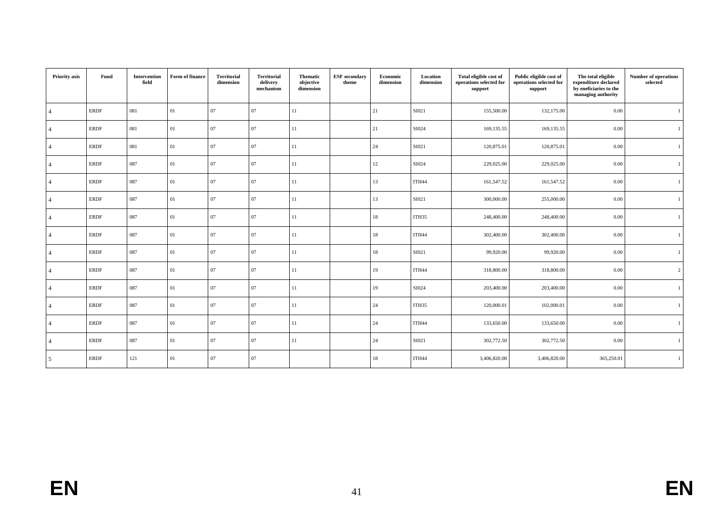| Priority axis  | Fund        | Intervention<br>field | Form of finance | Territorial<br>dimension | Territorial<br>delivery<br>mechanism | <b>Thematic</b><br>objective<br>dimension | <b>ESF</b> secondary<br>theme | Economic<br>dimension | Location<br>dimension | Total eligible cost of<br>operations selected for<br>support | Public eligible cost of<br>operations selected for<br>support | The total eligible<br>expenditure declared<br>by eneficiaries to the<br>managing authority | <b>Number of operations</b><br>selected |
|----------------|-------------|-----------------------|-----------------|--------------------------|--------------------------------------|-------------------------------------------|-------------------------------|-----------------------|-----------------------|--------------------------------------------------------------|---------------------------------------------------------------|--------------------------------------------------------------------------------------------|-----------------------------------------|
| $\overline{4}$ | <b>ERDF</b> | 081                   | 01              | 07                       | 07                                   | 11                                        |                               | 21                    | SI021                 | 155,500.00                                                   | 132,175.00                                                    | 0.00                                                                                       |                                         |
|                | <b>ERDF</b> | 081                   | 01              | 07                       | 07                                   | 11                                        |                               | 21                    | SI024                 | 169,135.55                                                   | 169,135.55                                                    | 0.00                                                                                       |                                         |
|                | <b>ERDF</b> | 081                   | 01              | $07\,$                   | 07                                   | 11                                        |                               | 24                    | SI021                 | 120,875.01                                                   | 120,875.01                                                    | 0.00                                                                                       |                                         |
|                | <b>ERDF</b> | 087                   | 01              | 07                       | 07                                   | 11                                        |                               | 12                    | SI024                 | 229,025.00                                                   | 229,025.00                                                    | 0.00                                                                                       |                                         |
|                | <b>ERDF</b> | 087                   | 01              | 07                       | 07                                   | 11                                        |                               | 13                    | ITH44                 | 161,547.52                                                   | 161,547.52                                                    | 0.00                                                                                       |                                         |
|                | <b>ERDF</b> | 087                   | 01              | 07                       | 07                                   | 11                                        |                               | 13                    | SI021                 | 300,000.00                                                   | 255,000.00                                                    | 0.00                                                                                       |                                         |
|                | <b>ERDF</b> | 087                   | 01              | 07                       | 07                                   | 11                                        |                               | 18                    | ITH35                 | 248,400.00                                                   | 248,400.00                                                    | 0.00                                                                                       |                                         |
|                | <b>ERDF</b> | 087                   | 01              | 07                       | 07                                   | 11                                        |                               | 18                    | ITH44                 | 302,400.00                                                   | 302,400.00                                                    | 0.00                                                                                       |                                         |
|                | <b>ERDF</b> | 087                   | 01              | 07                       | 07                                   | 11                                        |                               | 18                    | SI021                 | 99,920.00                                                    | 99,920.00                                                     | 0.00                                                                                       |                                         |
|                | <b>ERDF</b> | 087                   | 01              | 07                       | 07                                   | 11                                        |                               | 19                    | ITH44                 | 318,800.00                                                   | 318,800.00                                                    | 0.00                                                                                       | 2                                       |
|                | <b>ERDF</b> | 087                   | 01              | 07                       | 07                                   | 11                                        |                               | 19                    | SI024                 | 203,400.00                                                   | 203,400.00                                                    | 0.00                                                                                       |                                         |
|                | <b>ERDF</b> | 087                   | 01              | 07                       | 07                                   | 11                                        |                               | 24                    | ITH <sub>35</sub>     | 120,000.01                                                   | 102,000.01                                                    | 0.00                                                                                       |                                         |
|                | <b>ERDF</b> | 087                   | 01              | 07                       | 07                                   | 11                                        |                               | 24                    | ITH44                 | 133,650.00                                                   | 133,650.00                                                    | 0.00                                                                                       |                                         |
|                | <b>ERDF</b> | 087                   | 01              | 07                       | 07                                   | 11                                        |                               | 24                    | SI021                 | 302,772.50                                                   | 302,772.50                                                    | 0.00                                                                                       |                                         |
| .5             | <b>ERDF</b> | 121                   | 01              | 07                       | 07                                   |                                           |                               | 18                    | ITH44                 | 3,406,820.00                                                 | 3,406,820.00                                                  | 365,250.01                                                                                 |                                         |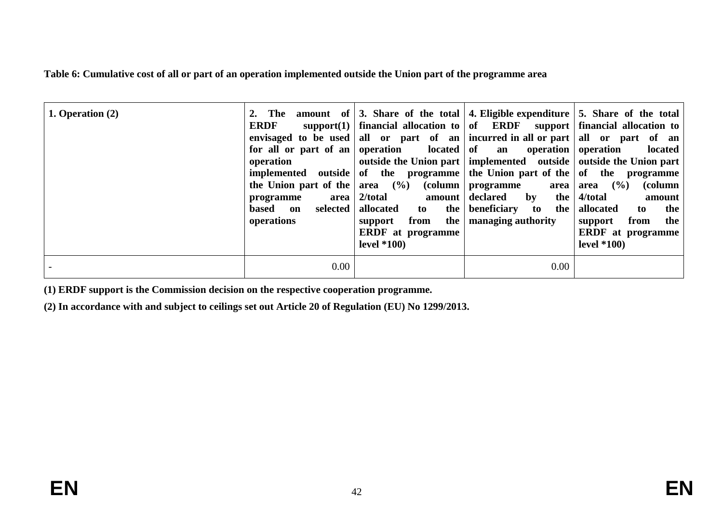**Table 6: Cumulative cost of all or part of an operation implemented outside the Union part of the programme area**

| 1. Operation $(2)$ | 2. The<br><b>ERDF</b><br>operation<br>the Union part of the $\vert$ area $(\% )$<br>area<br>programme<br>based on<br>operations | envisaged to be used all or part of an<br>for all or part of an   operation   $\alpha$   ocated   of an   operation   operation<br>implemented outside of the programme the Union part of the $\sigma$ of the programme<br>(column)<br>2/total<br>amount<br>selected   allocated<br>to the<br>from the<br>support<br><b>ERDF</b> at programme<br>level $*100$ | programme<br>declared<br>$\mathbf{by}$<br>the<br>beneficiary to<br>the  <br>managing authority | amount of $\vert 3$ . Share of the total 4. Eligible expenditure $\vert 5$ . Share of the total<br>support(1)   financial allocation to $\vert$ of ERDF support   financial allocation to $\vert$<br>incurred in all or part   all or part of an<br>located<br>outside the Union part   implemented outside   outside the Union part<br>$($ %)<br>(column<br>area   area<br>4/total<br>amount<br>allocated<br>the<br>to<br>from<br>the<br>support<br><b>ERDF</b> at programme<br>level $*100$ |
|--------------------|---------------------------------------------------------------------------------------------------------------------------------|---------------------------------------------------------------------------------------------------------------------------------------------------------------------------------------------------------------------------------------------------------------------------------------------------------------------------------------------------------------|------------------------------------------------------------------------------------------------|-----------------------------------------------------------------------------------------------------------------------------------------------------------------------------------------------------------------------------------------------------------------------------------------------------------------------------------------------------------------------------------------------------------------------------------------------------------------------------------------------|
|                    | $0.00\,$                                                                                                                        |                                                                                                                                                                                                                                                                                                                                                               | $0.00\,$                                                                                       |                                                                                                                                                                                                                                                                                                                                                                                                                                                                                               |

**(1) ERDF support is the Commission decision on the respective cooperation programme.**

**(2) In accordance with and subject to ceilings set out Article 20 of Regulation (EU) No 1299/2013.**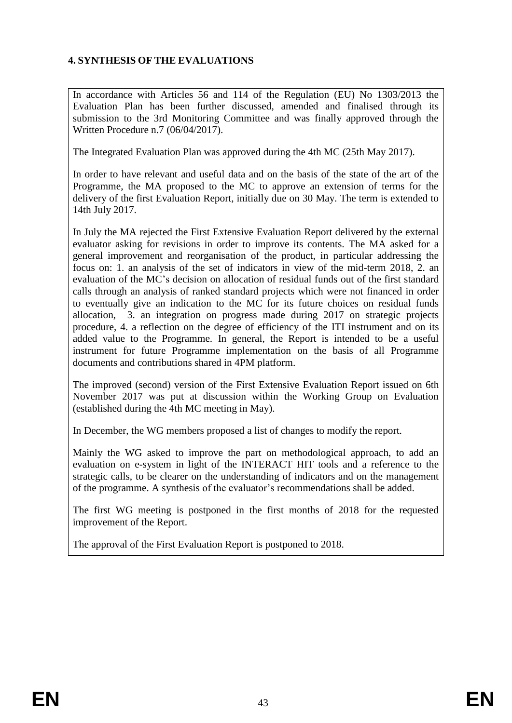# **4. SYNTHESIS OF THE EVALUATIONS**

In accordance with Articles 56 and 114 of the Regulation (EU) No 1303/2013 the Evaluation Plan has been further discussed, amended and finalised through its submission to the 3rd Monitoring Committee and was finally approved through the Written Procedure n.7 (06/04/2017).

The Integrated Evaluation Plan was approved during the 4th MC (25th May 2017).

In order to have relevant and useful data and on the basis of the state of the art of the Programme, the MA proposed to the MC to approve an extension of terms for the delivery of the first Evaluation Report, initially due on 30 May. The term is extended to 14th July 2017.

In July the MA rejected the First Extensive Evaluation Report delivered by the external evaluator asking for revisions in order to improve its contents. The MA asked for a general improvement and reorganisation of the product, in particular addressing the focus on: 1. an analysis of the set of indicators in view of the mid-term 2018, 2. an evaluation of the MC's decision on allocation of residual funds out of the first standard calls through an analysis of ranked standard projects which were not financed in order to eventually give an indication to the MC for its future choices on residual funds allocation, 3. an integration on progress made during 2017 on strategic projects procedure, 4. a reflection on the degree of efficiency of the ITI instrument and on its added value to the Programme. In general, the Report is intended to be a useful instrument for future Programme implementation on the basis of all Programme documents and contributions shared in 4PM platform.

The improved (second) version of the First Extensive Evaluation Report issued on 6th November 2017 was put at discussion within the Working Group on Evaluation (established during the 4th MC meeting in May).

In December, the WG members proposed a list of changes to modify the report.

Mainly the WG asked to improve the part on methodological approach, to add an evaluation on e-system in light of the INTERACT HIT tools and a reference to the strategic calls, to be clearer on the understanding of indicators and on the management of the programme. A synthesis of the evaluator's recommendations shall be added.

The first WG meeting is postponed in the first months of 2018 for the requested improvement of the Report.

The approval of the First Evaluation Report is postponed to 2018.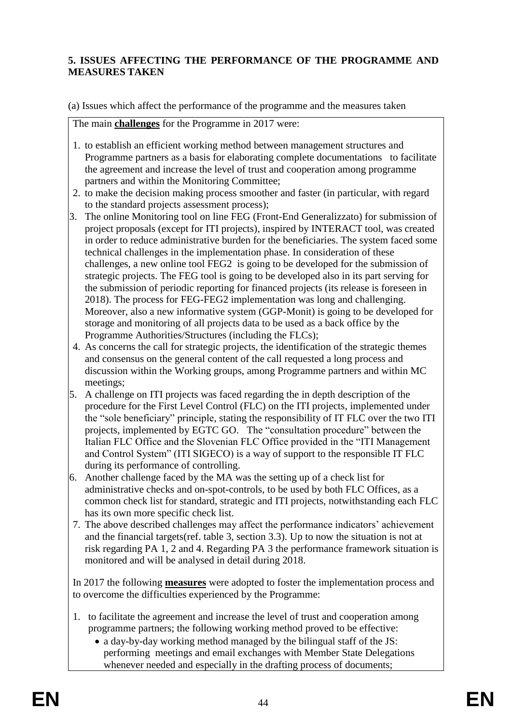# **5. ISSUES AFFECTING THE PERFORMANCE OF THE PROGRAMME AND MEASURES TAKEN**

(a) Issues which affect the performance of the programme and the measures taken

The main **challenges** for the Programme in 2017 were:

- 1. to establish an efficient working method between management structures and Programme partners as a basis for elaborating complete documentations to facilitate the agreement and increase the level of trust and cooperation among programme partners and within the Monitoring Committee;
- 2. to make the decision making process smoother and faster (in particular, with regard to the standard projects assessment process);
- 3. The online Monitoring tool on line FEG (Front-End Generalizzato) for submission of project proposals (except for ITI projects), inspired by INTERACT tool, was created in order to reduce administrative burden for the beneficiaries. The system faced some technical challenges in the implementation phase. In consideration of these challenges, a new online tool FEG2 is going to be developed for the submission of strategic projects. The FEG tool is going to be developed also in its part serving for the submission of periodic reporting for financed projects (its release is foreseen in 2018). The process for FEG-FEG2 implementation was long and challenging. Moreover, also a new informative system (GGP-Monit) is going to be developed for storage and monitoring of all projects data to be used as a back office by the Programme Authorities/Structures (including the FLCs);
- 4. As concerns the call for strategic projects, the identification of the strategic themes and consensus on the general content of the call requested a long process and discussion within the Working groups, among Programme partners and within MC meetings;
- 5. A challenge on ITI projects was faced regarding the in depth description of the procedure for the First Level Control (FLC) on the ITI projects, implemented under the "sole beneficiary" principle, stating the responsibility of IT FLC over the two ITI projects, implemented by EGTC GO. The "consultation procedure" between the Italian FLC Office and the Slovenian FLC Office provided in the "ITI Management and Control System" (ITI SIGECO) is a way of support to the responsible IT FLC during its performance of controlling.
- 6. Another challenge faced by the MA was the setting up of a check list for administrative checks and on-spot-controls, to be used by both FLC Offices, as a common check list for standard, strategic and ITI projects, notwithstanding each FLC has its own more specific check list.
- 7. The above described challenges may affect the performance indicators' achievement and the financial targets(ref. table 3, section 3.3). Up to now the situation is not at risk regarding PA 1, 2 and 4. Regarding PA 3 the performance framework situation is monitored and will be analysed in detail during 2018.

In 2017 the following **measures** were adopted to foster the implementation process and to overcome the difficulties experienced by the Programme:

- 1. to facilitate the agreement and increase the level of trust and cooperation among programme partners; the following working method proved to be effective:
	- a day-by-day working method managed by the bilingual staff of the JS: performing meetings and email exchanges with Member State Delegations whenever needed and especially in the drafting process of documents;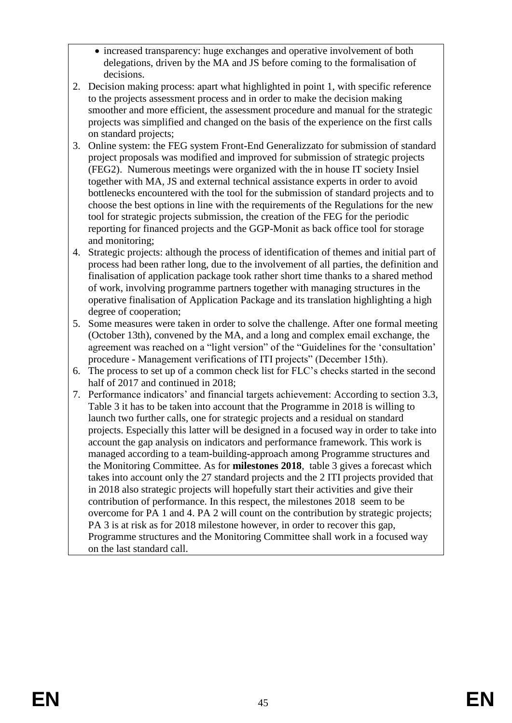- increased transparency: huge exchanges and operative involvement of both delegations, driven by the MA and JS before coming to the formalisation of decisions.
- 2. Decision making process: apart what highlighted in point 1, with specific reference to the projects assessment process and in order to make the decision making smoother and more efficient, the assessment procedure and manual for the strategic projects was simplified and changed on the basis of the experience on the first calls on standard projects;
- 3. Online system: the FEG system Front-End Generalizzato for submission of standard project proposals was modified and improved for submission of strategic projects (FEG2). Numerous meetings were organized with the in house IT society Insiel together with MA, JS and external technical assistance experts in order to avoid bottlenecks encountered with the tool for the submission of standard projects and to choose the best options in line with the requirements of the Regulations for the new tool for strategic projects submission, the creation of the FEG for the periodic reporting for financed projects and the GGP-Monit as back office tool for storage and monitoring;
- 4. Strategic projects: although the process of identification of themes and initial part of process had been rather long, due to the involvement of all parties, the definition and finalisation of application package took rather short time thanks to a shared method of work, involving programme partners together with managing structures in the operative finalisation of Application Package and its translation highlighting a high degree of cooperation;
- 5. Some measures were taken in order to solve the challenge. After one formal meeting (October 13th), convened by the MA, and a long and complex email exchange, the agreement was reached on a "light version" of the "Guidelines for the 'consultation' procedure - Management verifications of ITI projects" (December 15th).
- 6. The process to set up of a common check list for FLC's checks started in the second half of 2017 and continued in 2018;
- 7. Performance indicators' and financial targets achievement: According to section 3.3, Table 3 it has to be taken into account that the Programme in 2018 is willing to launch two further calls, one for strategic projects and a residual on standard projects. Especially this latter will be designed in a focused way in order to take into account the gap analysis on indicators and performance framework. This work is managed according to a team-building-approach among Programme structures and the Monitoring Committee. As for **milestones 2018**, table 3 gives a forecast which takes into account only the 27 standard projects and the 2 ITI projects provided that in 2018 also strategic projects will hopefully start their activities and give their contribution of performance. In this respect, the milestones 2018 seem to be overcome for PA 1 and 4. PA 2 will count on the contribution by strategic projects; PA 3 is at risk as for 2018 milestone however, in order to recover this gap, Programme structures and the Monitoring Committee shall work in a focused way on the last standard call.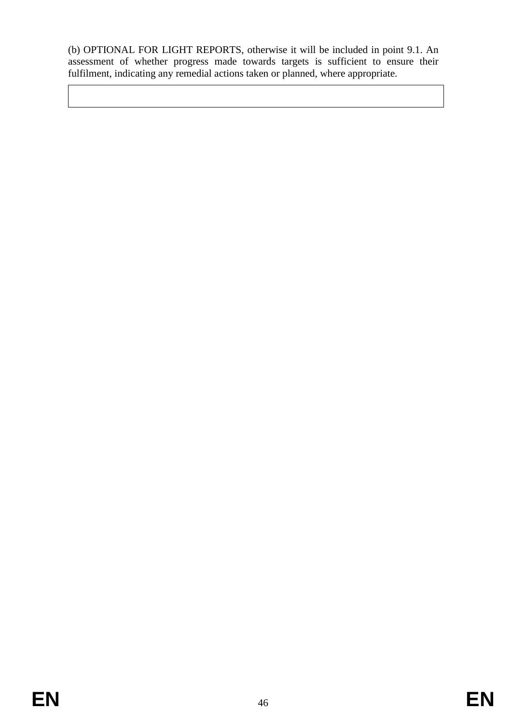(b) OPTIONAL FOR LIGHT REPORTS, otherwise it will be included in point 9.1. An assessment of whether progress made towards targets is sufficient to ensure their fulfilment, indicating any remedial actions taken or planned, where appropriate.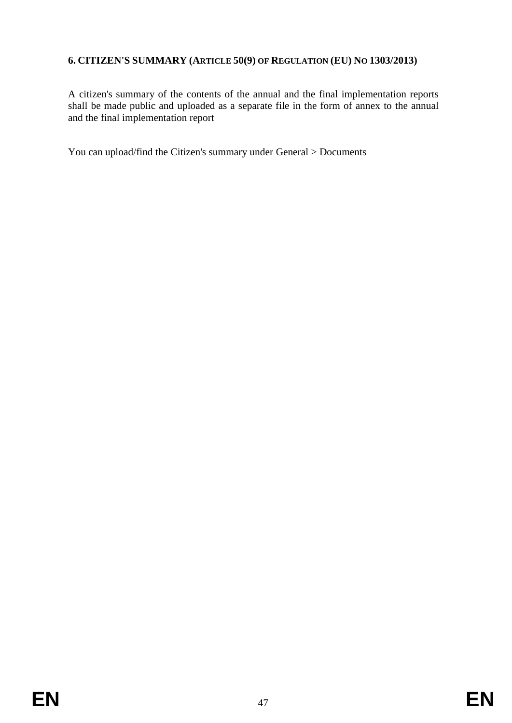# **6. CITIZEN'S SUMMARY (ARTICLE 50(9) OF REGULATION (EU) NO 1303/2013)**

A citizen's summary of the contents of the annual and the final implementation reports shall be made public and uploaded as a separate file in the form of annex to the annual and the final implementation report

You can upload/find the Citizen's summary under General > Documents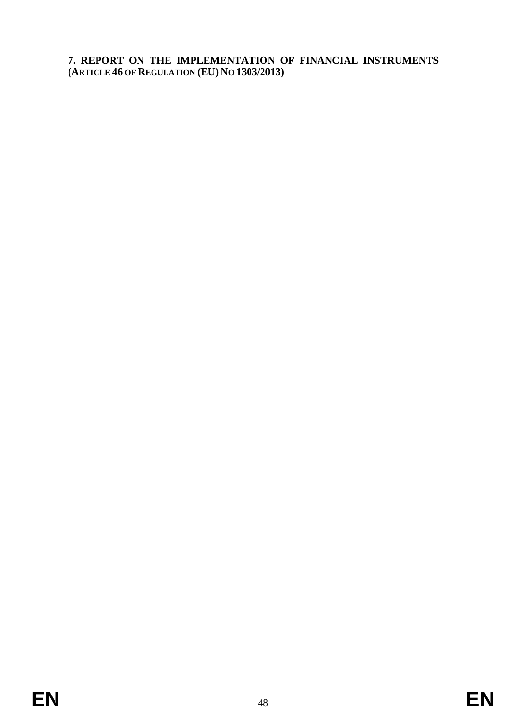**7. REPORT ON THE IMPLEMENTATION OF FINANCIAL INSTRUMENTS (ARTICLE 46 OF REGULATION (EU) NO 1303/2013)**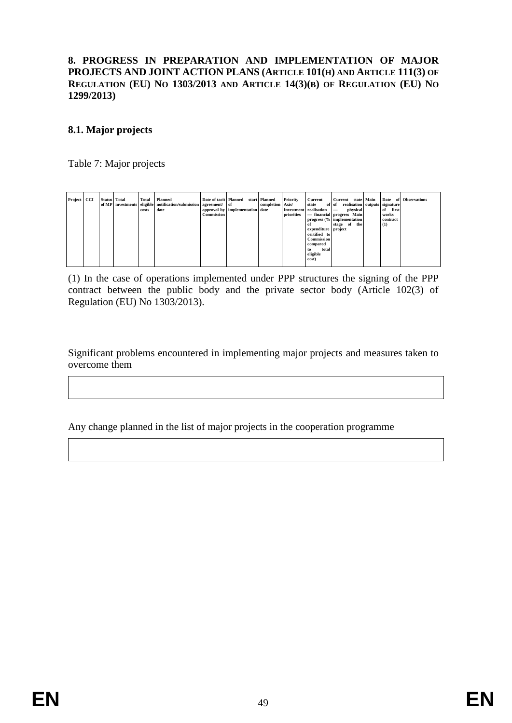#### **8. PROGRESS IN PREPARATION AND IMPLEMENTATION OF MAJOR PROJECTS AND JOINT ACTION PLANS (ARTICLE 101(H) AND ARTICLE 111(3) OF REGULATION (EU) NO 1303/2013 AND ARTICLE 14(3)(B) OF REGULATION (EU) NO 1299/2013)**

# **8.1. Major projects**

Table 7: Major projects

| Project CCI |  | <b>Status</b> Total | Total | Planned                                                          | Date of tacit Planned |                                 | start Planned    | Priority   | Current                  | Current state Main                     | Date     | of Observations |
|-------------|--|---------------------|-------|------------------------------------------------------------------|-----------------------|---------------------------------|------------------|------------|--------------------------|----------------------------------------|----------|-----------------|
|             |  |                     |       | of MP investments eligible notification/submission agreement/ of |                       |                                 | completion Axis/ |            | state                    | realisation outputs signature<br>of of |          |                 |
|             |  |                     | costs | date                                                             |                       | approval by implementation date |                  |            | Investment realisation – | physical                               | of first |                 |
|             |  |                     |       |                                                                  | <b>Commission</b>     |                                 |                  | priorities |                          | - financial progress Main              | works    |                 |
|             |  |                     |       |                                                                  |                       |                                 |                  |            |                          | progress (% implementation             | contract |                 |
|             |  |                     |       |                                                                  |                       |                                 |                  |            | - of                     | stage of<br>the                        | (1)      |                 |
|             |  |                     |       |                                                                  |                       |                                 |                  |            | expenditure project      |                                        |          |                 |
|             |  |                     |       |                                                                  |                       |                                 |                  |            | certified to             |                                        |          |                 |
|             |  |                     |       |                                                                  |                       |                                 |                  |            | <b>Commission</b>        |                                        |          |                 |
|             |  |                     |       |                                                                  |                       |                                 |                  |            | compared                 |                                        |          |                 |
|             |  |                     |       |                                                                  |                       |                                 |                  |            | total<br>to              |                                        |          |                 |
|             |  |                     |       |                                                                  |                       |                                 |                  |            | eligible                 |                                        |          |                 |
|             |  |                     |       |                                                                  |                       |                                 |                  |            | cost)                    |                                        |          |                 |
|             |  |                     |       |                                                                  |                       |                                 |                  |            |                          |                                        |          |                 |

(1) In the case of operations implemented under PPP structures the signing of the PPP contract between the public body and the private sector body (Article 102(3) of Regulation (EU) No 1303/2013).

Significant problems encountered in implementing major projects and measures taken to overcome them

Any change planned in the list of major projects in the cooperation programme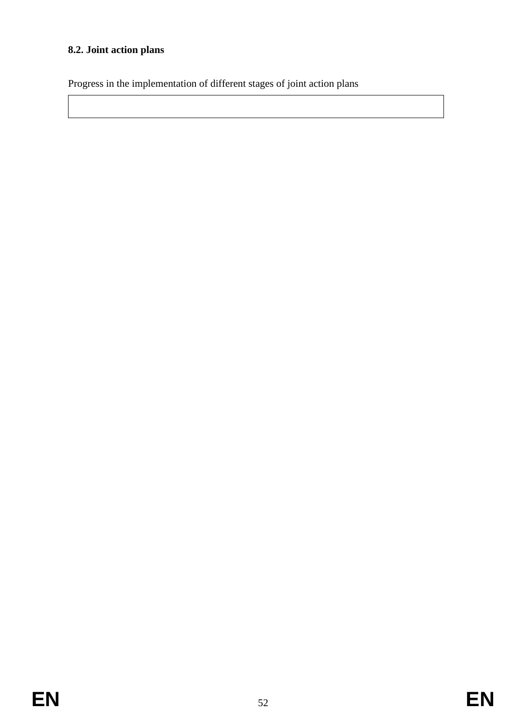# **8.2. Joint action plans**

Progress in the implementation of different stages of joint action plans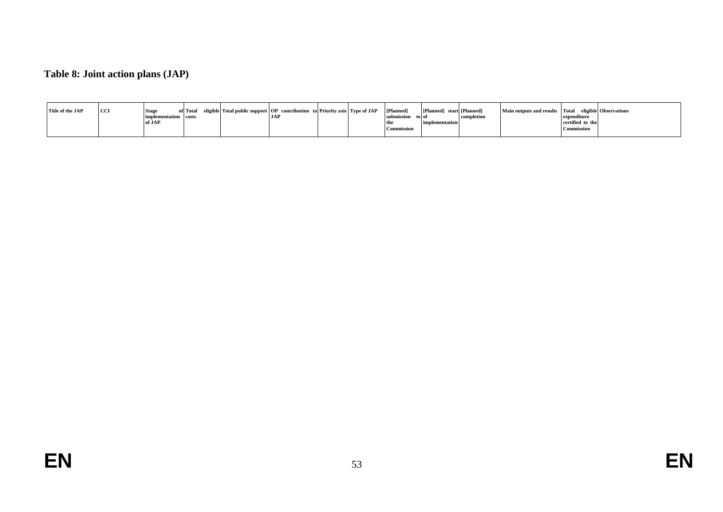# **Table 8: Joint action plans (JAP)**

| Title of the JAP | <b>CCI</b> | <b>Stage</b>         | of Total eligible Total public support OP contribution to Priority axis Type of JAP |            |  | [Planned]         | [Planned] start [Planned] |            | Main outputs and results Total eligible Observations |                   |  |
|------------------|------------|----------------------|-------------------------------------------------------------------------------------|------------|--|-------------------|---------------------------|------------|------------------------------------------------------|-------------------|--|
|                  |            | implementation costs |                                                                                     | <b>JAP</b> |  | submission        | to of                     | completion |                                                      | expenditure       |  |
|                  |            | of JAP               |                                                                                     |            |  | the               | <b>mplementation</b>      |            |                                                      | certified to the  |  |
|                  |            |                      |                                                                                     |            |  | <b>Commission</b> |                           |            |                                                      | <b>Commission</b> |  |
|                  |            |                      |                                                                                     |            |  |                   |                           |            |                                                      |                   |  |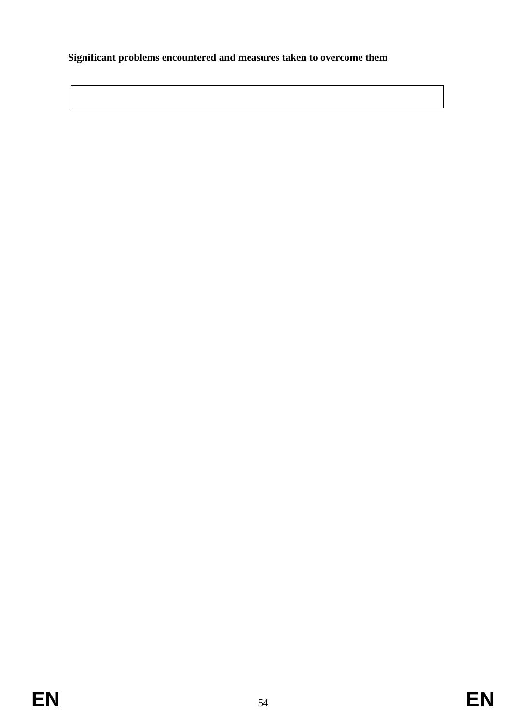# **Significant problems encountered and measures taken to overcome them**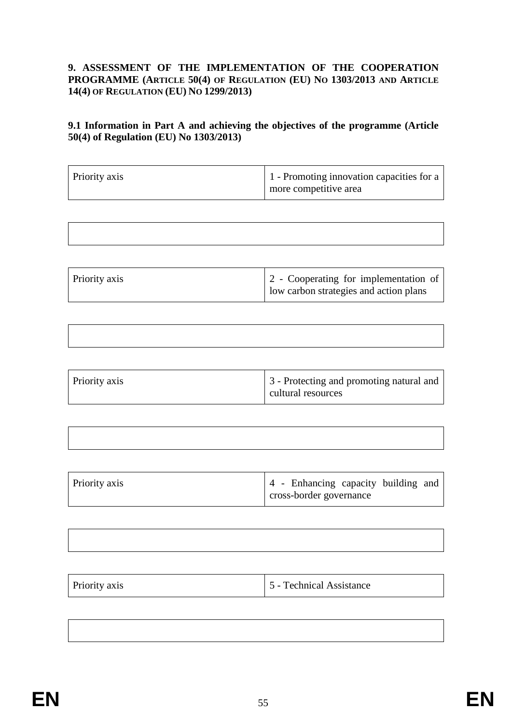## **9. ASSESSMENT OF THE IMPLEMENTATION OF THE COOPERATION PROGRAMME (ARTICLE 50(4) OF REGULATION (EU) NO 1303/2013 AND ARTICLE 14(4) OF REGULATION (EU) NO 1299/2013)**

# **9.1 Information in Part A and achieving the objectives of the programme (Article 50(4) of Regulation (EU) No 1303/2013)**

| Priority axis | 1 - Promoting innovation capacities for a<br>more competitive area |
|---------------|--------------------------------------------------------------------|
|---------------|--------------------------------------------------------------------|

| Priority axis | 2 - Cooperating for implementation of  |
|---------------|----------------------------------------|
|               | low carbon strategies and action plans |

| Priority axis | 3 - Protecting and promoting natural and<br>cultural resources |
|---------------|----------------------------------------------------------------|

| Priority axis | 4 - Enhancing capacity building and |
|---------------|-------------------------------------|
|               | cross-border governance             |

| Priority axis | 5 - Technical Assistance |
|---------------|--------------------------|
|---------------|--------------------------|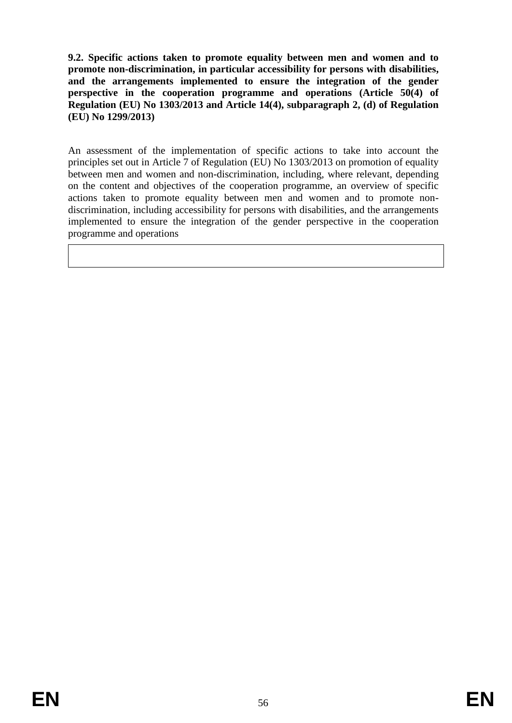**9.2. Specific actions taken to promote equality between men and women and to promote non-discrimination, in particular accessibility for persons with disabilities, and the arrangements implemented to ensure the integration of the gender perspective in the cooperation programme and operations (Article 50(4) of Regulation (EU) No 1303/2013 and Article 14(4), subparagraph 2, (d) of Regulation (EU) No 1299/2013)**

An assessment of the implementation of specific actions to take into account the principles set out in Article 7 of Regulation (EU) No 1303/2013 on promotion of equality between men and women and non-discrimination, including, where relevant, depending on the content and objectives of the cooperation programme, an overview of specific actions taken to promote equality between men and women and to promote nondiscrimination, including accessibility for persons with disabilities, and the arrangements implemented to ensure the integration of the gender perspective in the cooperation programme and operations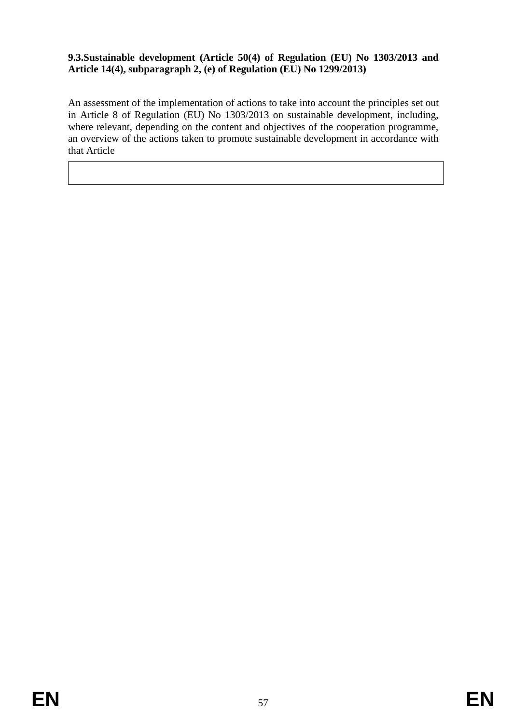# **9.3.Sustainable development (Article 50(4) of Regulation (EU) No 1303/2013 and Article 14(4), subparagraph 2, (e) of Regulation (EU) No 1299/2013)**

An assessment of the implementation of actions to take into account the principles set out in Article 8 of Regulation (EU) No 1303/2013 on sustainable development, including, where relevant, depending on the content and objectives of the cooperation programme, an overview of the actions taken to promote sustainable development in accordance with that Article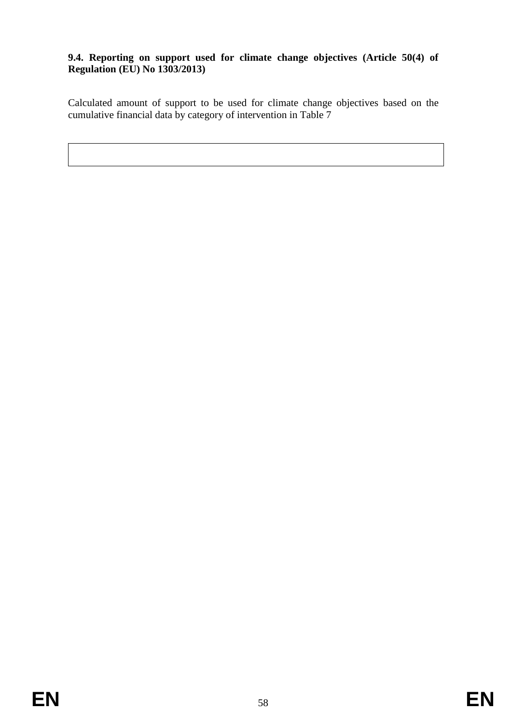# **9.4. Reporting on support used for climate change objectives (Article 50(4) of Regulation (EU) No 1303/2013)**

Calculated amount of support to be used for climate change objectives based on the cumulative financial data by category of intervention in Table 7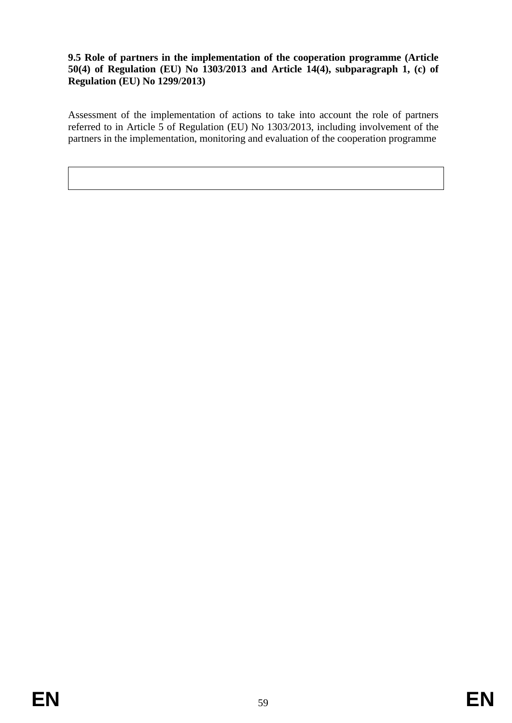## **9.5 Role of partners in the implementation of the cooperation programme (Article 50(4) of Regulation (EU) No 1303/2013 and Article 14(4), subparagraph 1, (c) of Regulation (EU) No 1299/2013)**

Assessment of the implementation of actions to take into account the role of partners referred to in Article 5 of Regulation (EU) No 1303/2013, including involvement of the partners in the implementation, monitoring and evaluation of the cooperation programme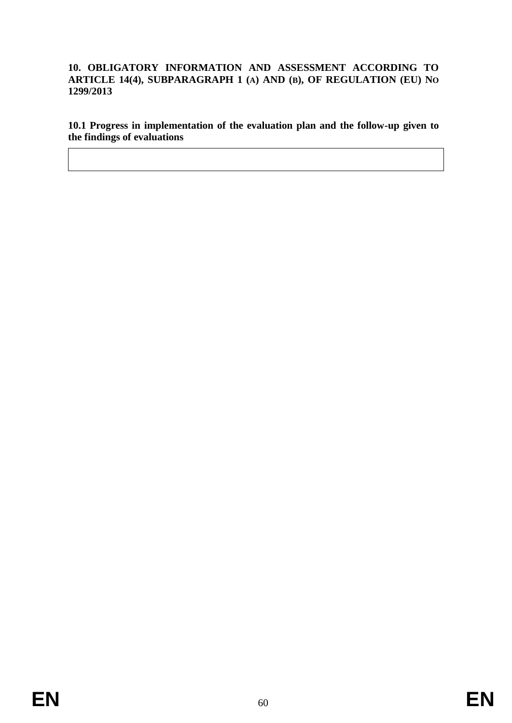## **10. OBLIGATORY INFORMATION AND ASSESSMENT ACCORDING TO ARTICLE 14(4), SUBPARAGRAPH 1 (A) AND (B), OF REGULATION (EU) NO 1299/2013**

**10.1 Progress in implementation of the evaluation plan and the follow-up given to the findings of evaluations**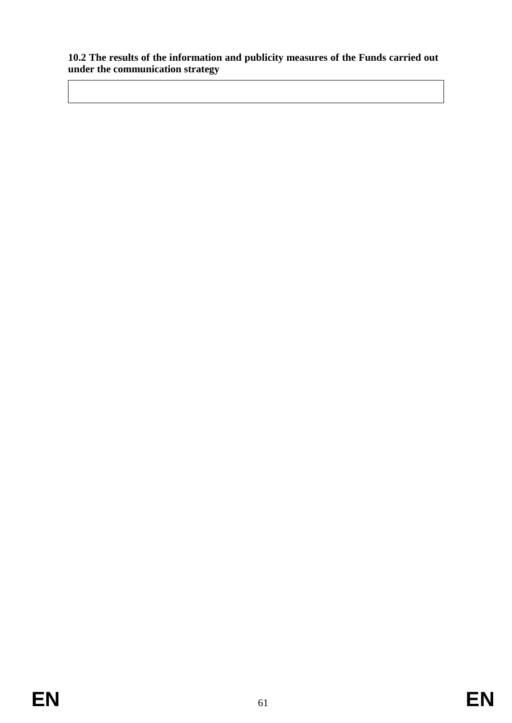## **10.2 The results of the information and publicity measures of the Funds carried out under the communication strategy**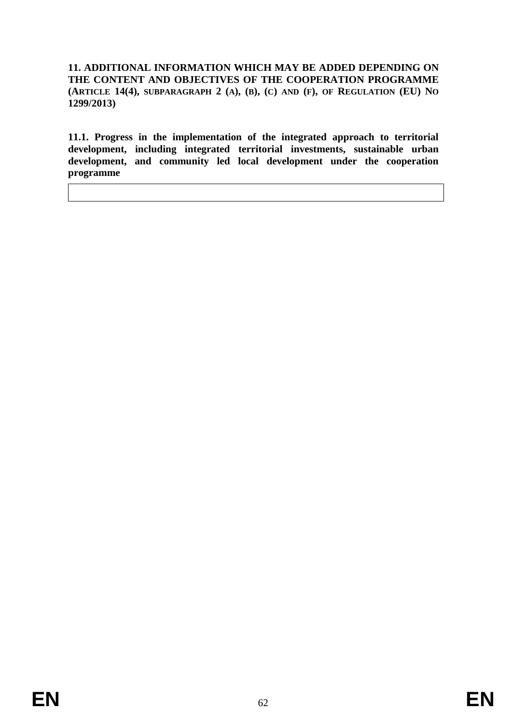**11. ADDITIONAL INFORMATION WHICH MAY BE ADDED DEPENDING ON THE CONTENT AND OBJECTIVES OF THE COOPERATION PROGRAMME** (ARTICLE 14(4), SUBPARAGRAPH 2 (A), (B), (C) AND (F), OF REGULATION (EU) NO **1299/2013)**

**11.1. Progress in the implementation of the integrated approach to territorial development, including integrated territorial investments, sustainable urban development, and community led local development under the cooperation programme**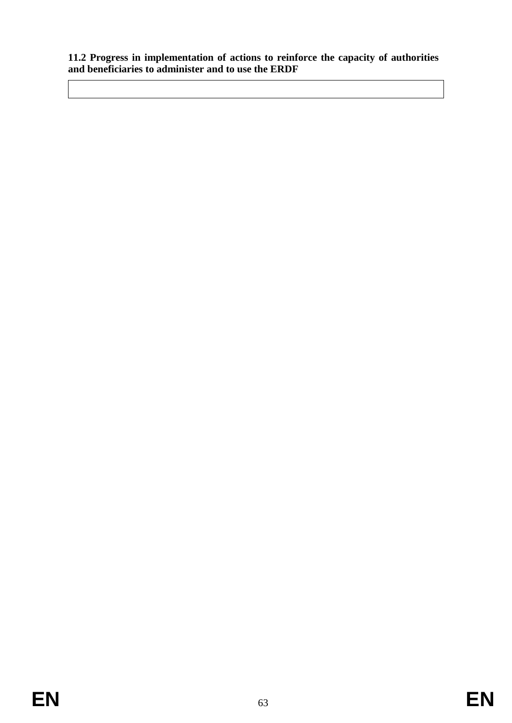**11.2 Progress in implementation of actions to reinforce the capacity of authorities and beneficiaries to administer and to use the ERDF**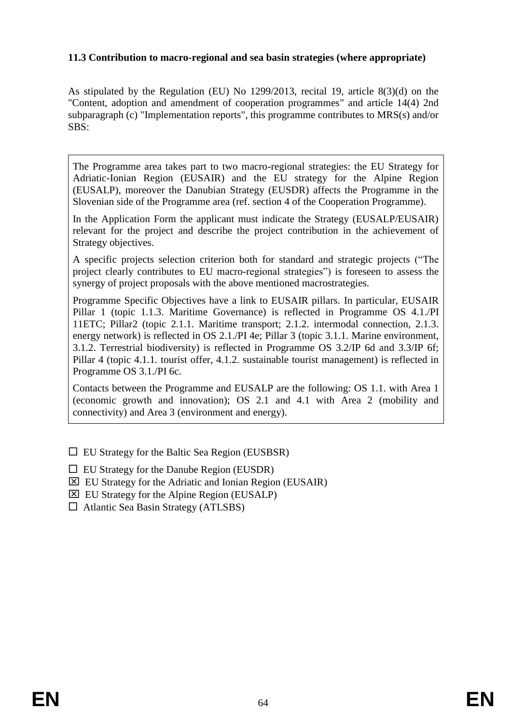## **11.3 Contribution to macro-regional and sea basin strategies (where appropriate)**

As stipulated by the Regulation (EU) No 1299/2013, recital 19, article 8(3)(d) on the "Content, adoption and amendment of cooperation programmes" and article 14(4) 2nd subparagraph (c) "Implementation reports", this programme contributes to MRS(s) and/or SBS:

The Programme area takes part to two macro-regional strategies: the EU Strategy for Adriatic-Ionian Region (EUSAIR) and the EU strategy for the Alpine Region (EUSALP), moreover the Danubian Strategy (EUSDR) affects the Programme in the Slovenian side of the Programme area (ref. section 4 of the Cooperation Programme).

In the Application Form the applicant must indicate the Strategy (EUSALP/EUSAIR) relevant for the project and describe the project contribution in the achievement of Strategy objectives.

A specific projects selection criterion both for standard and strategic projects ("The project clearly contributes to EU macro-regional strategies") is foreseen to assess the synergy of project proposals with the above mentioned macrostrategies.

Programme Specific Objectives have a link to EUSAIR pillars. In particular, EUSAIR Pillar 1 (topic 1.1.3. Maritime Governance) is reflected in Programme OS 4.1./PI 11ETC; Pillar2 (topic 2.1.1. Maritime transport; 2.1.2. intermodal connection, 2.1.3. energy network) is reflected in OS 2.1./PI 4e; Pillar 3 (topic 3.1.1. Marine environment, 3.1.2. Terrestrial biodiversity) is reflected in Programme OS 3.2/IP 6d and 3.3/IP 6f; Pillar 4 (topic 4.1.1. tourist offer, 4.1.2. sustainable tourist management) is reflected in Programme OS 3.1./PI 6c.

Contacts between the Programme and EUSALP are the following: OS 1.1. with Area 1 (economic growth and innovation); OS 2.1 and 4.1 with Area 2 (mobility and connectivity) and Area 3 (environment and energy).

- $\Box$  EU Strategy for the Baltic Sea Region (EUSBSR)
- $\Box$  EU Strategy for the Danube Region (EUSDR)
- EU Strategy for the Adriatic and Ionian Region (EUSAIR)
- $\boxtimes$  EU Strategy for the Alpine Region (EUSALP)
- $\Box$  Atlantic Sea Basin Strategy (ATLSBS)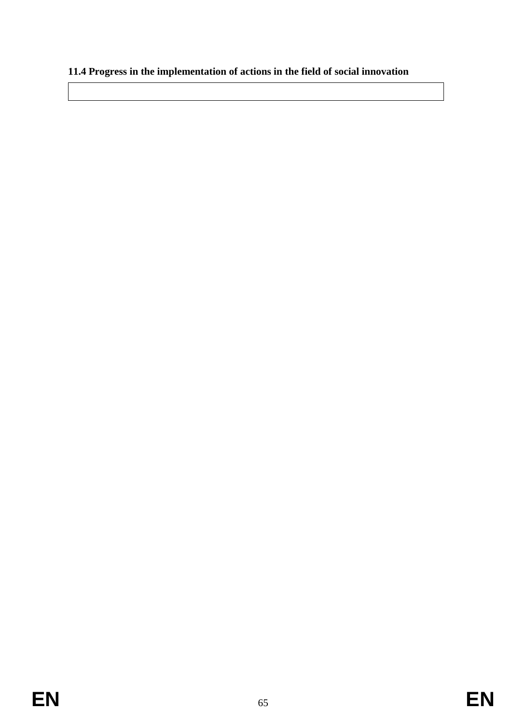# **11.4 Progress in the implementation of actions in the field of social innovation**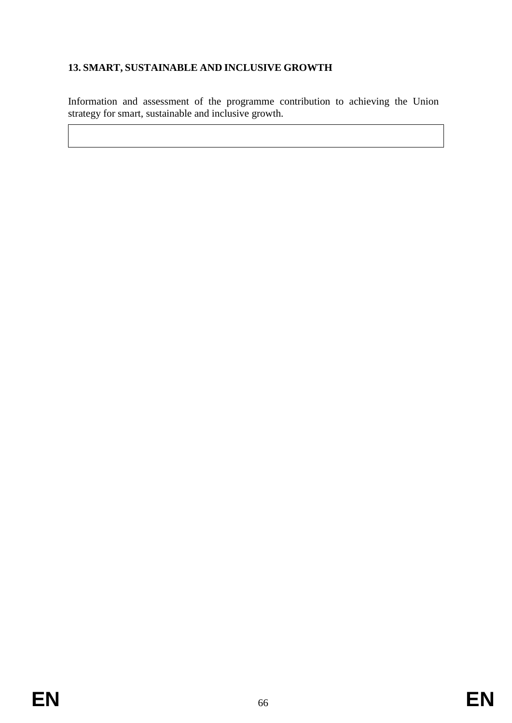# **13. SMART, SUSTAINABLE AND INCLUSIVE GROWTH**

Information and assessment of the programme contribution to achieving the Union strategy for smart, sustainable and inclusive growth.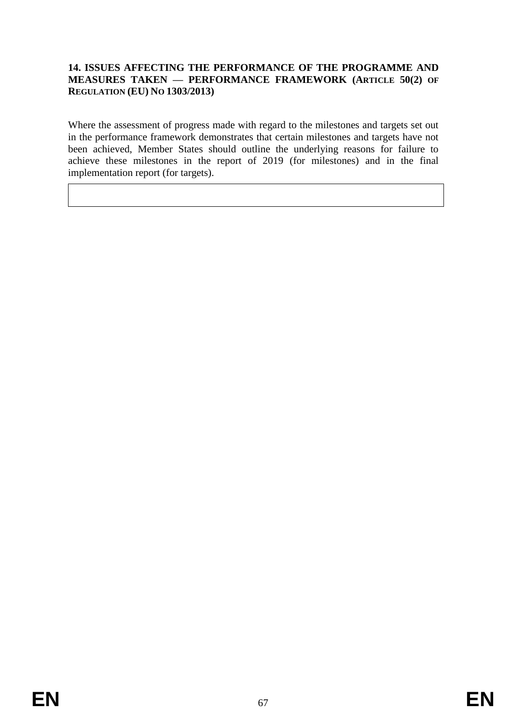## **14. ISSUES AFFECTING THE PERFORMANCE OF THE PROGRAMME AND MEASURES TAKEN — PERFORMANCE FRAMEWORK (ARTICLE 50(2) OF REGULATION (EU) NO 1303/2013)**

Where the assessment of progress made with regard to the milestones and targets set out in the performance framework demonstrates that certain milestones and targets have not been achieved, Member States should outline the underlying reasons for failure to achieve these milestones in the report of 2019 (for milestones) and in the final implementation report (for targets).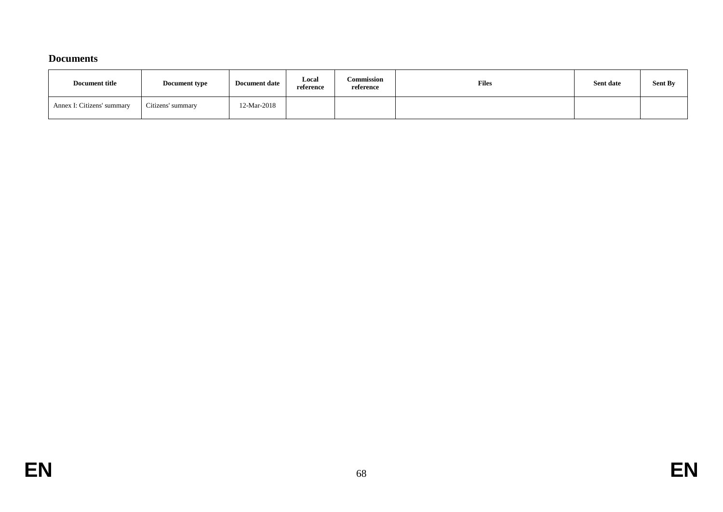## **Documents**

| <b>Document title</b>      | <b>Document type</b> | <b>Document date</b> | Local<br>reference | Commission<br>reference | <b>Files</b> | Sent date | <b>Sent By</b> |
|----------------------------|----------------------|----------------------|--------------------|-------------------------|--------------|-----------|----------------|
| Annex I: Citizens' summary | Citizens' summary    | 12-Mar-2018          |                    |                         |              |           |                |